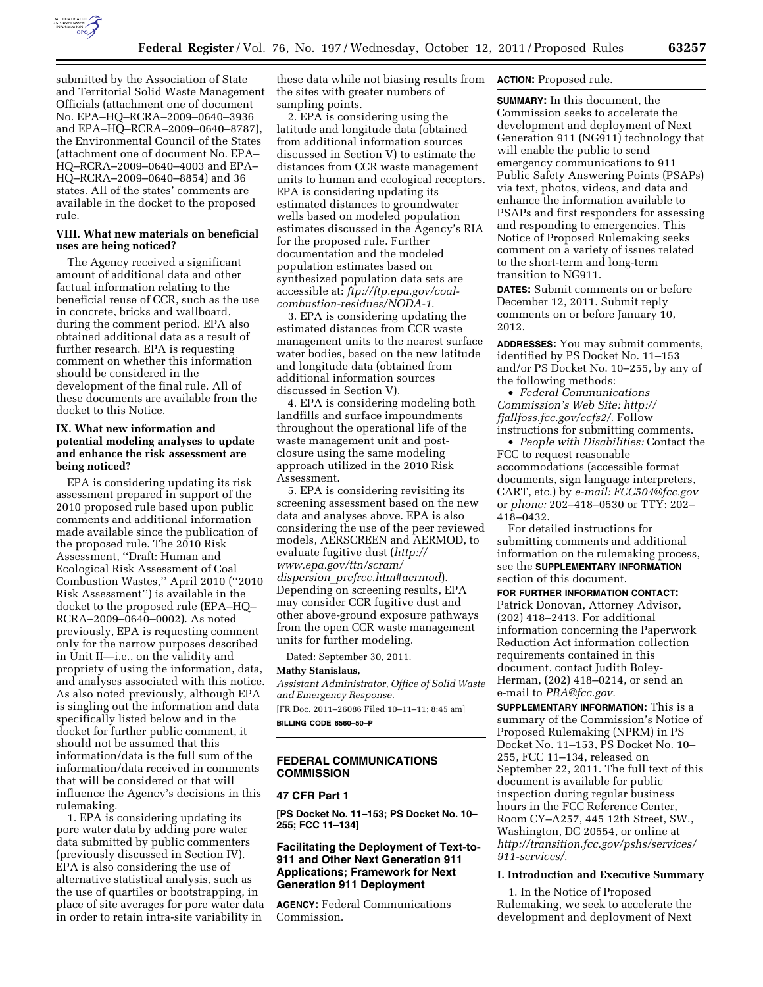

submitted by the Association of State and Territorial Solid Waste Management Officials (attachment one of document No. EPA–HQ–RCRA–2009–0640–3936 and EPA–HQ–RCRA–2009–0640–8787), the Environmental Council of the States (attachment one of document No. EPA– HQ–RCRA–2009–0640–4003 and EPA– HQ–RCRA–2009–0640–8854) and 36 states. All of the states' comments are available in the docket to the proposed rule.

# **VIII. What new materials on beneficial uses are being noticed?**

The Agency received a significant amount of additional data and other factual information relating to the beneficial reuse of CCR, such as the use in concrete, bricks and wallboard, during the comment period. EPA also obtained additional data as a result of further research. EPA is requesting comment on whether this information should be considered in the development of the final rule. All of these documents are available from the docket to this Notice.

# **IX. What new information and potential modeling analyses to update and enhance the risk assessment are being noticed?**

EPA is considering updating its risk assessment prepared in support of the 2010 proposed rule based upon public comments and additional information made available since the publication of the proposed rule. The 2010 Risk Assessment, ''Draft: Human and Ecological Risk Assessment of Coal Combustion Wastes,'' April 2010 (''2010 Risk Assessment'') is available in the docket to the proposed rule (EPA–HQ– RCRA–2009–0640–0002). As noted previously, EPA is requesting comment only for the narrow purposes described in Unit II—i.e., on the validity and propriety of using the information, data, and analyses associated with this notice. As also noted previously, although EPA is singling out the information and data specifically listed below and in the docket for further public comment, it should not be assumed that this information/data is the full sum of the information/data received in comments that will be considered or that will influence the Agency's decisions in this rulemaking.

1. EPA is considering updating its pore water data by adding pore water data submitted by public commenters (previously discussed in Section IV). EPA is also considering the use of alternative statistical analysis, such as the use of quartiles or bootstrapping, in place of site averages for pore water data in order to retain intra-site variability in

these data while not biasing results from the sites with greater numbers of sampling points.

2. EPA is considering using the latitude and longitude data (obtained from additional information sources discussed in Section V) to estimate the distances from CCR waste management units to human and ecological receptors. EPA is considering updating its estimated distances to groundwater wells based on modeled population estimates discussed in the Agency's RIA for the proposed rule. Further documentation and the modeled population estimates based on synthesized population data sets are accessible at: *ftp://ftp.epa.gov/coalcombustion-residues/NODA-1*.

3. EPA is considering updating the estimated distances from CCR waste management units to the nearest surface water bodies, based on the new latitude and longitude data (obtained from additional information sources discussed in Section V).

4. EPA is considering modeling both landfills and surface impoundments throughout the operational life of the waste management unit and postclosure using the same modeling approach utilized in the 2010 Risk Assessment.

5. EPA is considering revisiting its screening assessment based on the new data and analyses above. EPA is also considering the use of the peer reviewed models, AERSCREEN and AERMOD, to evaluate fugitive dust (*[http://](http://www.epa.gov/ttn/scram/dispersion_prefrec.htm#aermod)  [www.epa.gov/ttn/scram/](http://www.epa.gov/ttn/scram/dispersion_prefrec.htm#aermod)  dispersion*\_*[prefrec.htm#aermod](http://www.epa.gov/ttn/scram/dispersion_prefrec.htm#aermod)*). Depending on screening results, EPA may consider CCR fugitive dust and other above-ground exposure pathways from the open CCR waste management units for further modeling.

Dated: September 30, 2011.

# **Mathy Stanislaus,**

*Assistant Administrator, Office of Solid Waste and Emergency Response.*  [FR Doc. 2011–26086 Filed 10–11–11; 8:45 am] **BILLING CODE 6560–50–P** 

# **FEDERAL COMMUNICATIONS COMMISSION**

### **47 CFR Part 1**

**[PS Docket No. 11–153; PS Docket No. 10– 255; FCC 11–134]** 

# **Facilitating the Deployment of Text-to-911 and Other Next Generation 911 Applications; Framework for Next Generation 911 Deployment**

**AGENCY:** Federal Communications Commission.

**ACTION:** Proposed rule.

**SUMMARY:** In this document, the Commission seeks to accelerate the development and deployment of Next Generation 911 (NG911) technology that will enable the public to send emergency communications to 911 Public Safety Answering Points (PSAPs) via text, photos, videos, and data and enhance the information available to PSAPs and first responders for assessing and responding to emergencies. This Notice of Proposed Rulemaking seeks comment on a variety of issues related to the short-term and long-term transition to NG911.

**DATES:** Submit comments on or before December 12, 2011. Submit reply comments on or before January 10, 2012.

**ADDRESSES:** You may submit comments, identified by PS Docket No. 11–153 and/or PS Docket No. 10–255, by any of the following methods:

• *Federal Communications Commission's Web Site: [http://](http://fjallfoss.fcc.gov/ecfs2/)  [fjallfoss.fcc.gov/ecfs2/.](http://fjallfoss.fcc.gov/ecfs2/)* Follow instructions for submitting comments.

• *People with Disabilities:* Contact the FCC to request reasonable accommodations (accessible format documents, sign language interpreters, CART, etc.) by *e-mail: [FCC504@fcc.gov](mailto:FCC504@fcc.gov)*  or *phone:* 202–418–0530 or TTY: 202– 418–0432.

For detailed instructions for submitting comments and additional information on the rulemaking process, see the **SUPPLEMENTARY INFORMATION** section of this document.

**FOR FURTHER INFORMATION CONTACT:**  Patrick Donovan, Attorney Advisor, (202) 418–2413. For additional information concerning the Paperwork Reduction Act information collection requirements contained in this document, contact Judith Boley-Herman, (202) 418–0214, or send an e-mail to *[PRA@fcc.gov.](mailto:PRA@fcc.gov)* 

**SUPPLEMENTARY INFORMATION:** This is a summary of the Commission's Notice of Proposed Rulemaking (NPRM) in PS Docket No. 11–153, PS Docket No. 10– 255, FCC 11–134, released on September 22, 2011. The full text of this document is available for public inspection during regular business hours in the FCC Reference Center, Room CY–A257, 445 12th Street, SW., Washington, DC 20554, or online at *[http://transition.fcc.gov/pshs/services/](http://transition.fcc.gov/pshs/services/911-services/)  [911-services/.](http://transition.fcc.gov/pshs/services/911-services/)* 

### **I. Introduction and Executive Summary**

1. In the Notice of Proposed Rulemaking, we seek to accelerate the development and deployment of Next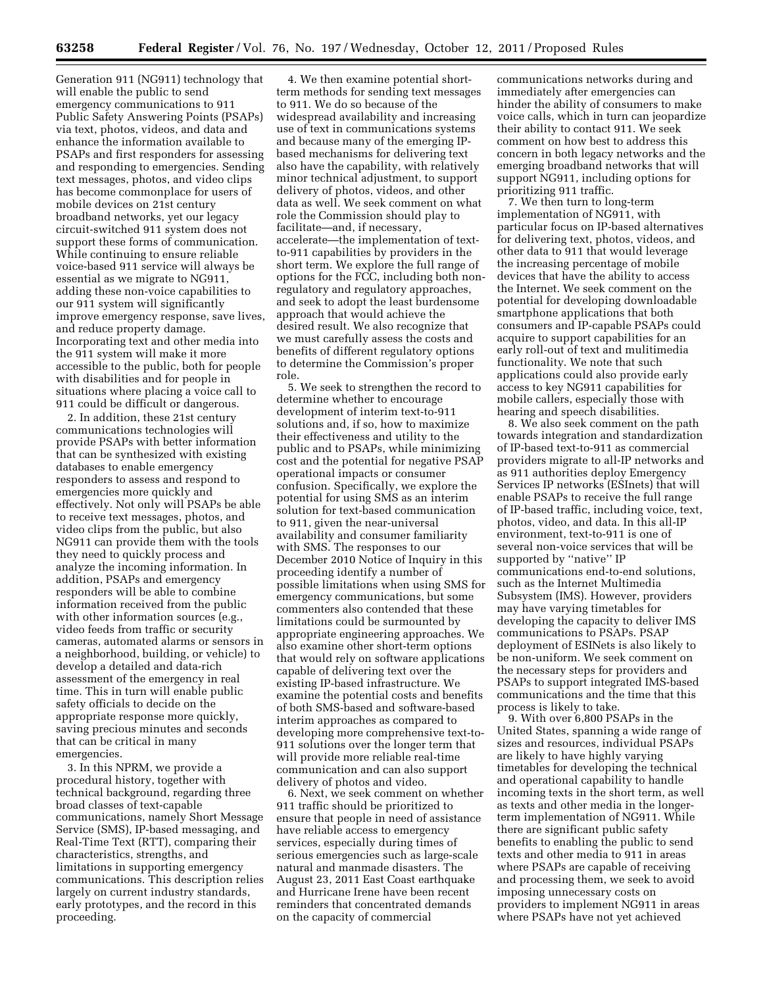Generation 911 (NG911) technology that will enable the public to send emergency communications to 911 Public Safety Answering Points (PSAPs) via text, photos, videos, and data and enhance the information available to PSAPs and first responders for assessing and responding to emergencies. Sending text messages, photos, and video clips has become commonplace for users of mobile devices on 21st century broadband networks, yet our legacy circuit-switched 911 system does not support these forms of communication. While continuing to ensure reliable voice-based 911 service will always be essential as we migrate to NG911, adding these non-voice capabilities to our 911 system will significantly improve emergency response, save lives, and reduce property damage. Incorporating text and other media into the 911 system will make it more accessible to the public, both for people with disabilities and for people in situations where placing a voice call to 911 could be difficult or dangerous.

2. In addition, these 21st century communications technologies will provide PSAPs with better information that can be synthesized with existing databases to enable emergency responders to assess and respond to emergencies more quickly and effectively. Not only will PSAPs be able to receive text messages, photos, and video clips from the public, but also NG911 can provide them with the tools they need to quickly process and analyze the incoming information. In addition, PSAPs and emergency responders will be able to combine information received from the public with other information sources (e.g., video feeds from traffic or security cameras, automated alarms or sensors in a neighborhood, building, or vehicle) to develop a detailed and data-rich assessment of the emergency in real time. This in turn will enable public safety officials to decide on the appropriate response more quickly, saving precious minutes and seconds that can be critical in many emergencies.

3. In this NPRM, we provide a procedural history, together with technical background, regarding three broad classes of text-capable communications, namely Short Message Service (SMS), IP-based messaging, and Real-Time Text (RTT), comparing their characteristics, strengths, and limitations in supporting emergency communications. This description relies largely on current industry standards, early prototypes, and the record in this proceeding.

4. We then examine potential shortterm methods for sending text messages to 911. We do so because of the widespread availability and increasing use of text in communications systems and because many of the emerging IPbased mechanisms for delivering text also have the capability, with relatively minor technical adjustment, to support delivery of photos, videos, and other data as well. We seek comment on what role the Commission should play to facilitate—and, if necessary, accelerate—the implementation of textto-911 capabilities by providers in the short term. We explore the full range of options for the FCC, including both nonregulatory and regulatory approaches, and seek to adopt the least burdensome approach that would achieve the desired result. We also recognize that we must carefully assess the costs and benefits of different regulatory options to determine the Commission's proper role.

5. We seek to strengthen the record to determine whether to encourage development of interim text-to-911 solutions and, if so, how to maximize their effectiveness and utility to the public and to PSAPs, while minimizing cost and the potential for negative PSAP operational impacts or consumer confusion. Specifically, we explore the potential for using SMS as an interim solution for text-based communication to 911, given the near-universal availability and consumer familiarity with SMS. The responses to our December 2010 Notice of Inquiry in this proceeding identify a number of possible limitations when using SMS for emergency communications, but some commenters also contended that these limitations could be surmounted by appropriate engineering approaches. We also examine other short-term options that would rely on software applications capable of delivering text over the existing IP-based infrastructure. We examine the potential costs and benefits of both SMS-based and software-based interim approaches as compared to developing more comprehensive text-to-911 solutions over the longer term that will provide more reliable real-time communication and can also support delivery of photos and video.

6. Next, we seek comment on whether 911 traffic should be prioritized to ensure that people in need of assistance have reliable access to emergency services, especially during times of serious emergencies such as large-scale natural and manmade disasters. The August 23, 2011 East Coast earthquake and Hurricane Irene have been recent reminders that concentrated demands on the capacity of commercial

communications networks during and immediately after emergencies can hinder the ability of consumers to make voice calls, which in turn can jeopardize their ability to contact 911. We seek comment on how best to address this concern in both legacy networks and the emerging broadband networks that will support NG911, including options for prioritizing 911 traffic.

7. We then turn to long-term implementation of NG911, with particular focus on IP-based alternatives for delivering text, photos, videos, and other data to 911 that would leverage the increasing percentage of mobile devices that have the ability to access the Internet. We seek comment on the potential for developing downloadable smartphone applications that both consumers and IP-capable PSAPs could acquire to support capabilities for an early roll-out of text and mulitimedia functionality. We note that such applications could also provide early access to key NG911 capabilities for mobile callers, especially those with hearing and speech disabilities.

8. We also seek comment on the path towards integration and standardization of IP-based text-to-911 as commercial providers migrate to all-IP networks and as 911 authorities deploy Emergency Services IP networks (ESInets) that will enable PSAPs to receive the full range of IP-based traffic, including voice, text, photos, video, and data. In this all-IP environment, text-to-911 is one of several non-voice services that will be supported by "native" IP communications end-to-end solutions, such as the Internet Multimedia Subsystem (IMS). However, providers may have varying timetables for developing the capacity to deliver IMS communications to PSAPs. PSAP deployment of ESINets is also likely to be non-uniform. We seek comment on the necessary steps for providers and PSAPs to support integrated IMS-based communications and the time that this process is likely to take.

9. With over 6,800 PSAPs in the United States, spanning a wide range of sizes and resources, individual PSAPs are likely to have highly varying timetables for developing the technical and operational capability to handle incoming texts in the short term, as well as texts and other media in the longerterm implementation of NG911. While there are significant public safety benefits to enabling the public to send texts and other media to 911 in areas where PSAPs are capable of receiving and processing them, we seek to avoid imposing unnecessary costs on providers to implement NG911 in areas where PSAPs have not yet achieved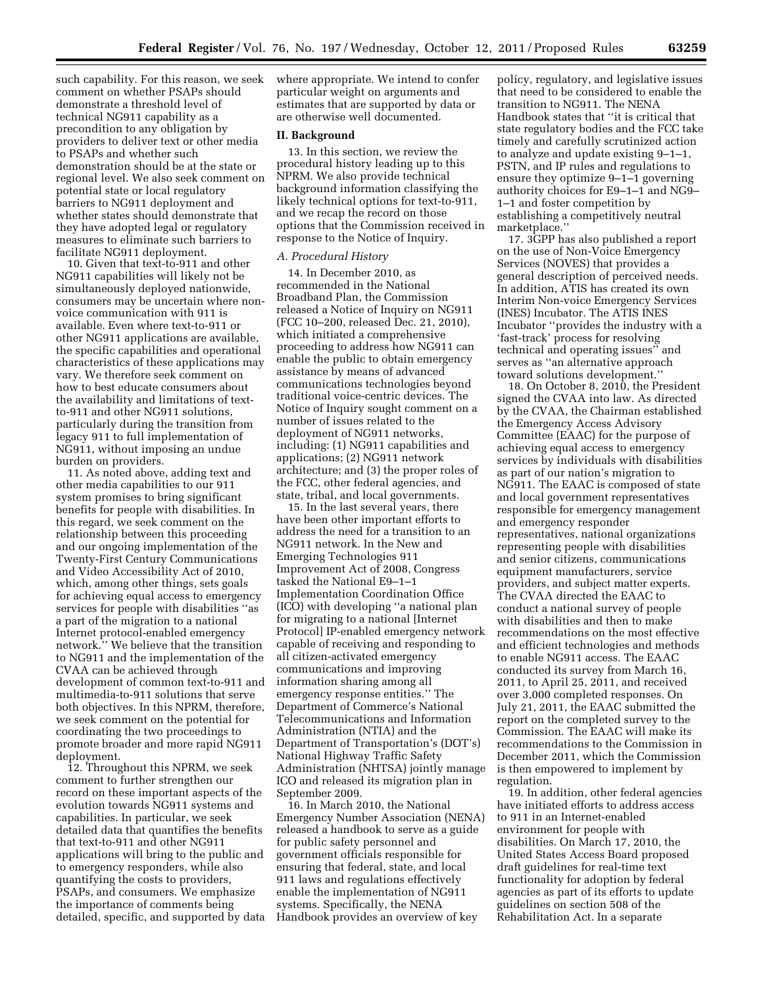such capability. For this reason, we seek comment on whether PSAPs should demonstrate a threshold level of technical NG911 capability as a precondition to any obligation by providers to deliver text or other media to PSAPs and whether such demonstration should be at the state or regional level. We also seek comment on potential state or local regulatory barriers to NG911 deployment and whether states should demonstrate that they have adopted legal or regulatory measures to eliminate such barriers to facilitate NG911 deployment.

10. Given that text-to-911 and other NG911 capabilities will likely not be simultaneously deployed nationwide, consumers may be uncertain where nonvoice communication with 911 is available. Even where text-to-911 or other NG911 applications are available, the specific capabilities and operational characteristics of these applications may vary. We therefore seek comment on how to best educate consumers about the availability and limitations of textto-911 and other NG911 solutions, particularly during the transition from legacy 911 to full implementation of NG911, without imposing an undue burden on providers.

11. As noted above, adding text and other media capabilities to our 911 system promises to bring significant benefits for people with disabilities. In this regard, we seek comment on the relationship between this proceeding and our ongoing implementation of the Twenty-First Century Communications and Video Accessibility Act of 2010, which, among other things, sets goals for achieving equal access to emergency services for people with disabilities ''as a part of the migration to a national Internet protocol-enabled emergency network.'' We believe that the transition to NG911 and the implementation of the CVAA can be achieved through development of common text-to-911 and multimedia-to-911 solutions that serve both objectives. In this NPRM, therefore, we seek comment on the potential for coordinating the two proceedings to promote broader and more rapid NG911 deployment.

12. Throughout this NPRM, we seek comment to further strengthen our record on these important aspects of the evolution towards NG911 systems and capabilities. In particular, we seek detailed data that quantifies the benefits that text-to-911 and other NG911 applications will bring to the public and to emergency responders, while also quantifying the costs to providers, PSAPs, and consumers. We emphasize the importance of comments being detailed, specific, and supported by data where appropriate. We intend to confer particular weight on arguments and estimates that are supported by data or are otherwise well documented.

#### **II. Background**

13. In this section, we review the procedural history leading up to this NPRM. We also provide technical background information classifying the likely technical options for text-to-911, and we recap the record on those options that the Commission received in response to the Notice of Inquiry.

# *A. Procedural History*

14. In December 2010, as recommended in the National Broadband Plan, the Commission released a Notice of Inquiry on NG911 (FCC 10–200, released Dec. 21, 2010), which initiated a comprehensive proceeding to address how NG911 can enable the public to obtain emergency assistance by means of advanced communications technologies beyond traditional voice-centric devices. The Notice of Inquiry sought comment on a number of issues related to the deployment of NG911 networks, including: (1) NG911 capabilities and applications; (2) NG911 network architecture; and (3) the proper roles of the FCC, other federal agencies, and state, tribal, and local governments.

15. In the last several years, there have been other important efforts to address the need for a transition to an NG911 network. In the New and Emerging Technologies 911 Improvement Act of 2008, Congress tasked the National E9–1–1 Implementation Coordination Office (ICO) with developing ''a national plan for migrating to a national [Internet Protocol] IP-enabled emergency network capable of receiving and responding to all citizen-activated emergency communications and improving information sharing among all emergency response entities.'' The Department of Commerce's National Telecommunications and Information Administration (NTIA) and the Department of Transportation's (DOT's) National Highway Traffic Safety Administration (NHTSA) jointly manage ICO and released its migration plan in September 2009.

16. In March 2010, the National Emergency Number Association (NENA) released a handbook to serve as a guide for public safety personnel and government officials responsible for ensuring that federal, state, and local 911 laws and regulations effectively enable the implementation of NG911 systems. Specifically, the NENA Handbook provides an overview of key

policy, regulatory, and legislative issues that need to be considered to enable the transition to NG911. The NENA Handbook states that ''it is critical that state regulatory bodies and the FCC take timely and carefully scrutinized action to analyze and update existing 9–1–1, PSTN, and IP rules and regulations to ensure they optimize 9–1–1 governing authority choices for E9–1–1 and NG9– 1–1 and foster competition by establishing a competitively neutral marketplace.''

17. 3GPP has also published a report on the use of Non-Voice Emergency Services (NOVES) that provides a general description of perceived needs. In addition, ATIS has created its own Interim Non-voice Emergency Services (INES) Incubator. The ATIS INES Incubator ''provides the industry with a 'fast-track' process for resolving technical and operating issues'' and serves as ''an alternative approach toward solutions development.''

18. On October 8, 2010, the President signed the CVAA into law. As directed by the CVAA, the Chairman established the Emergency Access Advisory Committee (EAAC) for the purpose of achieving equal access to emergency services by individuals with disabilities as part of our nation's migration to NG911. The EAAC is composed of state and local government representatives responsible for emergency management and emergency responder representatives, national organizations representing people with disabilities and senior citizens, communications equipment manufacturers, service providers, and subject matter experts. The CVAA directed the EAAC to conduct a national survey of people with disabilities and then to make recommendations on the most effective and efficient technologies and methods to enable NG911 access. The EAAC conducted its survey from March 16, 2011, to April 25, 2011, and received over 3,000 completed responses. On July 21, 2011, the EAAC submitted the report on the completed survey to the Commission. The EAAC will make its recommendations to the Commission in December 2011, which the Commission is then empowered to implement by regulation.

19. In addition, other federal agencies have initiated efforts to address access to 911 in an Internet-enabled environment for people with disabilities. On March 17, 2010, the United States Access Board proposed draft guidelines for real-time text functionality for adoption by federal agencies as part of its efforts to update guidelines on section 508 of the Rehabilitation Act. In a separate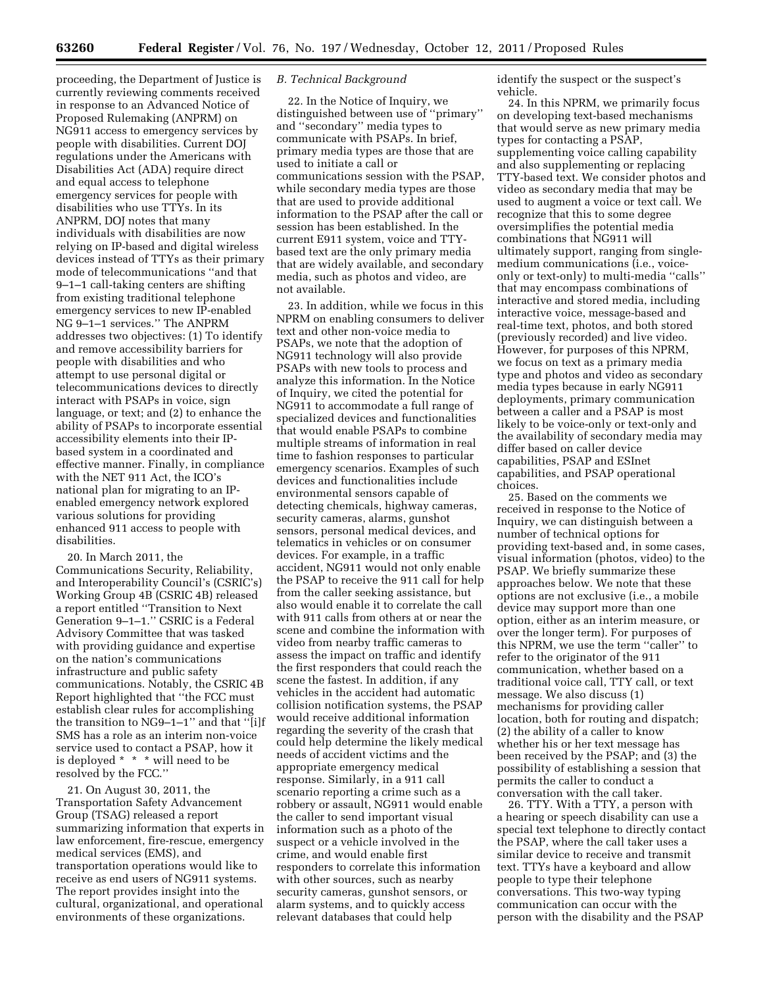proceeding, the Department of Justice is currently reviewing comments received in response to an Advanced Notice of Proposed Rulemaking (ANPRM) on NG911 access to emergency services by people with disabilities. Current DOJ regulations under the Americans with Disabilities Act (ADA) require direct and equal access to telephone emergency services for people with disabilities who use TTYs. In its ANPRM, DOJ notes that many individuals with disabilities are now relying on IP-based and digital wireless devices instead of TTYs as their primary mode of telecommunications ''and that 9–1–1 call-taking centers are shifting from existing traditional telephone emergency services to new IP-enabled NG 9–1–1 services.'' The ANPRM addresses two objectives: (1) To identify and remove accessibility barriers for people with disabilities and who attempt to use personal digital or telecommunications devices to directly interact with PSAPs in voice, sign language, or text; and (2) to enhance the ability of PSAPs to incorporate essential accessibility elements into their IPbased system in a coordinated and effective manner. Finally, in compliance with the NET 911 Act, the ICO's national plan for migrating to an IPenabled emergency network explored various solutions for providing enhanced 911 access to people with disabilities.

20. In March 2011, the Communications Security, Reliability, and Interoperability Council's (CSRIC's) Working Group 4B (CSRIC 4B) released a report entitled ''Transition to Next Generation 9–1–1.'' CSRIC is a Federal Advisory Committee that was tasked with providing guidance and expertise on the nation's communications infrastructure and public safety communications. Notably, the CSRIC 4B Report highlighted that ''the FCC must establish clear rules for accomplishing the transition to NG9–1–1'' and that ''[i]f SMS has a role as an interim non-voice service used to contact a PSAP, how it is deployed \* \* \* will need to be resolved by the FCC.''

21. On August 30, 2011, the Transportation Safety Advancement Group (TSAG) released a report summarizing information that experts in law enforcement, fire-rescue, emergency medical services (EMS), and transportation operations would like to receive as end users of NG911 systems. The report provides insight into the cultural, organizational, and operational environments of these organizations.

### *B. Technical Background*

22. In the Notice of Inquiry, we distinguished between use of ''primary'' and ''secondary'' media types to communicate with PSAPs. In brief, primary media types are those that are used to initiate a call or communications session with the PSAP, while secondary media types are those that are used to provide additional information to the PSAP after the call or session has been established. In the current E911 system, voice and TTYbased text are the only primary media that are widely available, and secondary media, such as photos and video, are not available.

23. In addition, while we focus in this NPRM on enabling consumers to deliver text and other non-voice media to PSAPs, we note that the adoption of NG911 technology will also provide PSAPs with new tools to process and analyze this information. In the Notice of Inquiry, we cited the potential for NG911 to accommodate a full range of specialized devices and functionalities that would enable PSAPs to combine multiple streams of information in real time to fashion responses to particular emergency scenarios. Examples of such devices and functionalities include environmental sensors capable of detecting chemicals, highway cameras, security cameras, alarms, gunshot sensors, personal medical devices, and telematics in vehicles or on consumer devices. For example, in a traffic accident, NG911 would not only enable the PSAP to receive the 911 call for help from the caller seeking assistance, but also would enable it to correlate the call with 911 calls from others at or near the scene and combine the information with video from nearby traffic cameras to assess the impact on traffic and identify the first responders that could reach the scene the fastest. In addition, if any vehicles in the accident had automatic collision notification systems, the PSAP would receive additional information regarding the severity of the crash that could help determine the likely medical needs of accident victims and the appropriate emergency medical response. Similarly, in a 911 call scenario reporting a crime such as a robbery or assault, NG911 would enable the caller to send important visual information such as a photo of the suspect or a vehicle involved in the crime, and would enable first responders to correlate this information with other sources, such as nearby security cameras, gunshot sensors, or alarm systems, and to quickly access relevant databases that could help

identify the suspect or the suspect's vehicle.

24. In this NPRM, we primarily focus on developing text-based mechanisms that would serve as new primary media types for contacting a PSAP, supplementing voice calling capability and also supplementing or replacing TTY-based text. We consider photos and video as secondary media that may be used to augment a voice or text call. We recognize that this to some degree oversimplifies the potential media combinations that NG911 will ultimately support, ranging from singlemedium communications (i.e., voiceonly or text-only) to multi-media ''calls'' that may encompass combinations of interactive and stored media, including interactive voice, message-based and real-time text, photos, and both stored (previously recorded) and live video. However, for purposes of this NPRM, we focus on text as a primary media type and photos and video as secondary media types because in early NG911 deployments, primary communication between a caller and a PSAP is most likely to be voice-only or text-only and the availability of secondary media may differ based on caller device capabilities, PSAP and ESInet capabilities, and PSAP operational choices.

25. Based on the comments we received in response to the Notice of Inquiry, we can distinguish between a number of technical options for providing text-based and, in some cases, visual information (photos, video) to the PSAP. We briefly summarize these approaches below. We note that these options are not exclusive (i.e., a mobile device may support more than one option, either as an interim measure, or over the longer term). For purposes of this NPRM, we use the term ''caller'' to refer to the originator of the 911 communication, whether based on a traditional voice call, TTY call, or text message. We also discuss (1) mechanisms for providing caller location, both for routing and dispatch; (2) the ability of a caller to know whether his or her text message has been received by the PSAP; and (3) the possibility of establishing a session that permits the caller to conduct a conversation with the call taker.

26. TTY. With a TTY, a person with a hearing or speech disability can use a special text telephone to directly contact the PSAP, where the call taker uses a similar device to receive and transmit text. TTYs have a keyboard and allow people to type their telephone conversations. This two-way typing communication can occur with the person with the disability and the PSAP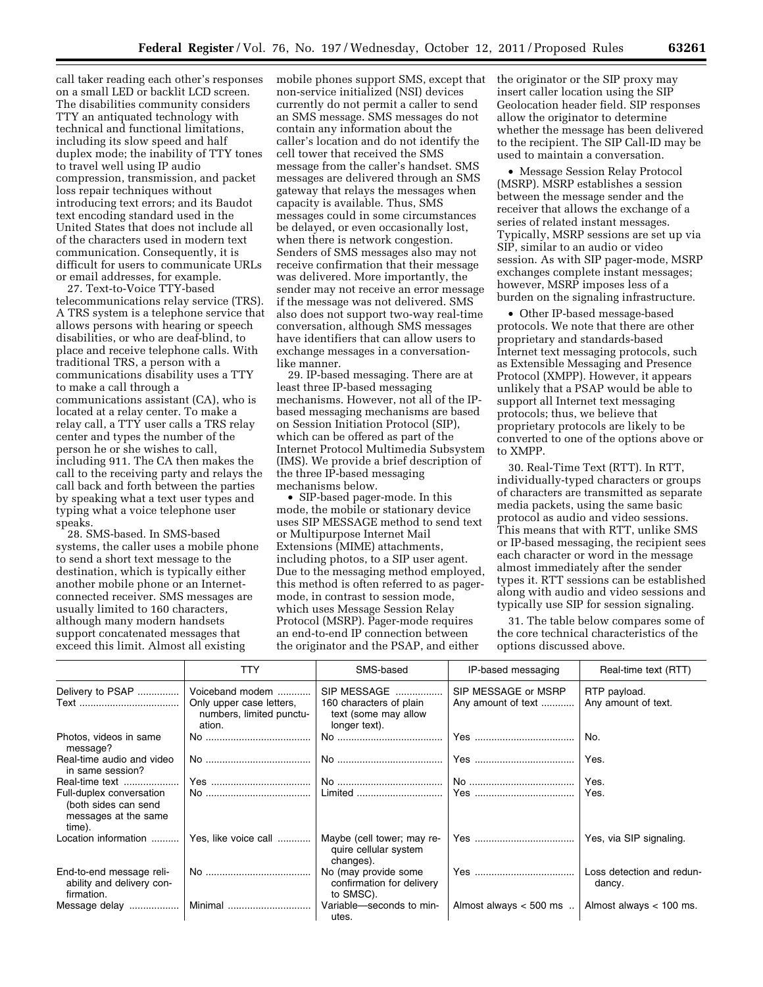call taker reading each other's responses on a small LED or backlit LCD screen. The disabilities community considers TTY an antiquated technology with technical and functional limitations, including its slow speed and half duplex mode; the inability of TTY tones to travel well using IP audio compression, transmission, and packet loss repair techniques without introducing text errors; and its Baudot text encoding standard used in the United States that does not include all of the characters used in modern text communication. Consequently, it is difficult for users to communicate URLs or email addresses, for example.

27. Text-to-Voice TTY-based telecommunications relay service (TRS). A TRS system is a telephone service that allows persons with hearing or speech disabilities, or who are deaf-blind, to place and receive telephone calls. With traditional TRS, a person with a communications disability uses a TTY to make a call through a communications assistant (CA), who is located at a relay center. To make a relay call, a TTY user calls a TRS relay center and types the number of the person he or she wishes to call, including 911. The CA then makes the call to the receiving party and relays the call back and forth between the parties by speaking what a text user types and typing what a voice telephone user speaks.

28. SMS-based. In SMS-based systems, the caller uses a mobile phone to send a short text message to the destination, which is typically either another mobile phone or an Internetconnected receiver. SMS messages are usually limited to 160 characters, although many modern handsets support concatenated messages that exceed this limit. Almost all existing

mobile phones support SMS, except that non-service initialized (NSI) devices currently do not permit a caller to send an SMS message. SMS messages do not contain any information about the caller's location and do not identify the cell tower that received the SMS message from the caller's handset. SMS messages are delivered through an SMS gateway that relays the messages when capacity is available. Thus, SMS messages could in some circumstances be delayed, or even occasionally lost, when there is network congestion. Senders of SMS messages also may not receive confirmation that their message was delivered. More importantly, the sender may not receive an error message if the message was not delivered. SMS also does not support two-way real-time conversation, although SMS messages have identifiers that can allow users to exchange messages in a conversationlike manner.

29. IP-based messaging. There are at least three IP-based messaging mechanisms. However, not all of the IPbased messaging mechanisms are based on Session Initiation Protocol (SIP), which can be offered as part of the Internet Protocol Multimedia Subsystem (IMS). We provide a brief description of the three IP-based messaging mechanisms below.

• SIP-based pager-mode. In this mode, the mobile or stationary device uses SIP MESSAGE method to send text or Multipurpose Internet Mail Extensions (MIME) attachments, including photos, to a SIP user agent. Due to the messaging method employed, this method is often referred to as pagermode, in contrast to session mode, which uses Message Session Relay Protocol (MSRP). Pager-mode requires an end-to-end IP connection between the originator and the PSAP, and either

the originator or the SIP proxy may insert caller location using the SIP Geolocation header field. SIP responses allow the originator to determine whether the message has been delivered to the recipient. The SIP Call-ID may be used to maintain a conversation.

• Message Session Relay Protocol (MSRP). MSRP establishes a session between the message sender and the receiver that allows the exchange of a series of related instant messages. Typically, MSRP sessions are set up via SIP, similar to an audio or video session. As with SIP pager-mode, MSRP exchanges complete instant messages; however, MSRP imposes less of a burden on the signaling infrastructure.

• Other IP-based message-based protocols. We note that there are other proprietary and standards-based Internet text messaging protocols, such as Extensible Messaging and Presence Protocol (XMPP). However, it appears unlikely that a PSAP would be able to support all Internet text messaging protocols; thus, we believe that proprietary protocols are likely to be converted to one of the options above or to XMPP.

30. Real-Time Text (RTT). In RTT, individually-typed characters or groups of characters are transmitted as separate media packets, using the same basic protocol as audio and video sessions. This means that with RTT, unlike SMS or IP-based messaging, the recipient sees each character or word in the message almost immediately after the sender types it. RTT sessions can be established along with audio and video sessions and typically use SIP for session signaling.

31. The table below compares some of the core technical characteristics of the options discussed above.

|                                                                                    | <b>TTY</b>                                                     | SMS-based                                                        | IP-based messaging       | Real-time text (RTT)                |  |
|------------------------------------------------------------------------------------|----------------------------------------------------------------|------------------------------------------------------------------|--------------------------|-------------------------------------|--|
| Delivery to PSAP                                                                   | Voiceband modem                                                | SIP MESSAGE                                                      | SIP MESSAGE or MSRP      | RTP payload.                        |  |
|                                                                                    | Only upper case letters,<br>numbers, limited punctu-<br>ation. | 160 characters of plain<br>text (some may allow<br>longer text). | Any amount of text       | Any amount of text.                 |  |
| Photos, videos in same<br>message?                                                 |                                                                |                                                                  |                          | No.                                 |  |
| Real-time audio and video<br>in same session?                                      |                                                                |                                                                  |                          | Yes.                                |  |
| Real-time text                                                                     |                                                                |                                                                  |                          | Yes.                                |  |
| Full-duplex conversation<br>(both sides can send<br>messages at the same<br>time). |                                                                | Limited                                                          |                          | Yes.                                |  |
| Location information                                                               | Yes, like voice call                                           | Maybe (cell tower; may re-<br>quire cellular system<br>changes). |                          | Yes, via SIP signaling.             |  |
| End-to-end message reli-<br>ability and delivery con-<br>firmation.                |                                                                | No (may provide some<br>confirmation for delivery<br>to SMSC).   |                          | Loss detection and redun-<br>dancy. |  |
| Message delay                                                                      | Minimal                                                        | Variable-seconds to min-<br>utes.                                | Almost always $<$ 500 ms | Almost always $< 100$ ms.           |  |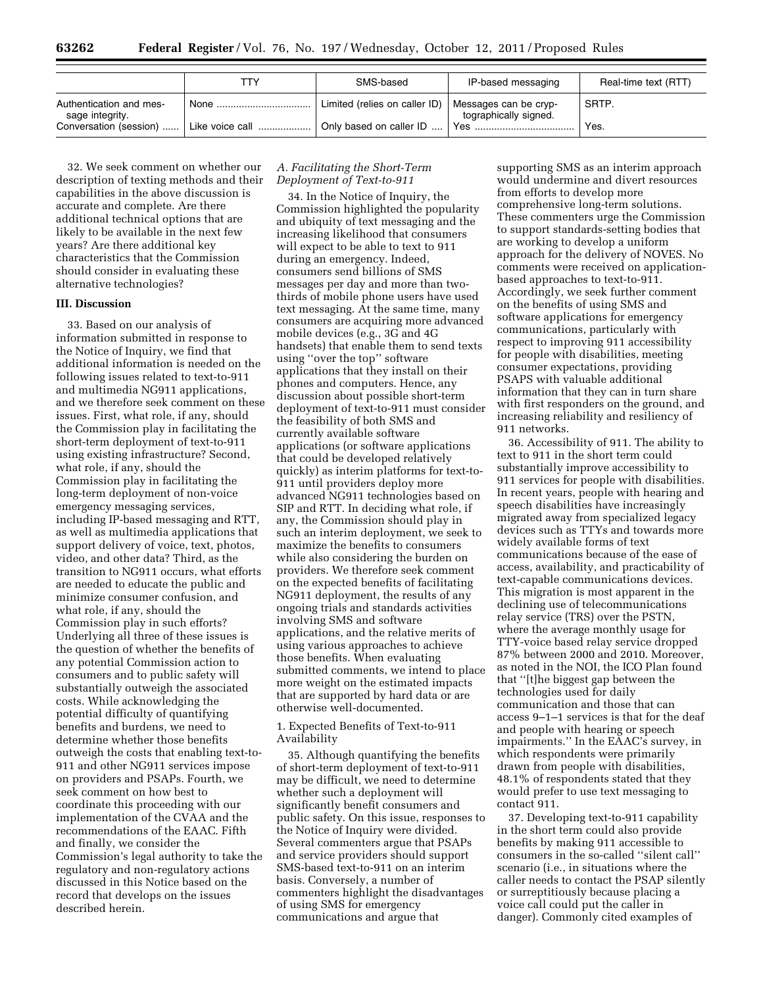|                                            | ттү.   | SMS-based                     | IP-based messaging                             | Real-time text (RTT) |
|--------------------------------------------|--------|-------------------------------|------------------------------------------------|----------------------|
| Authentication and mes-<br>sage integrity. | None . | Limited (relies on caller ID) | Messages can be cryp-<br>tographically signed. | SRTP.                |
| Conversation (session)                     |        | Only based on caller ID       |                                                | Yes.                 |

32. We seek comment on whether our description of texting methods and their capabilities in the above discussion is accurate and complete. Are there additional technical options that are likely to be available in the next few years? Are there additional key characteristics that the Commission should consider in evaluating these alternative technologies?

#### **III. Discussion**

33. Based on our analysis of information submitted in response to the Notice of Inquiry, we find that additional information is needed on the following issues related to text-to-911 and multimedia NG911 applications, and we therefore seek comment on these issues. First, what role, if any, should the Commission play in facilitating the short-term deployment of text-to-911 using existing infrastructure? Second, what role, if any, should the Commission play in facilitating the long-term deployment of non-voice emergency messaging services, including IP-based messaging and RTT, as well as multimedia applications that support delivery of voice, text, photos, video, and other data? Third, as the transition to NG911 occurs, what efforts are needed to educate the public and minimize consumer confusion, and what role, if any, should the Commission play in such efforts? Underlying all three of these issues is the question of whether the benefits of any potential Commission action to consumers and to public safety will substantially outweigh the associated costs. While acknowledging the potential difficulty of quantifying benefits and burdens, we need to determine whether those benefits outweigh the costs that enabling text-to-911 and other NG911 services impose on providers and PSAPs. Fourth, we seek comment on how best to coordinate this proceeding with our implementation of the CVAA and the recommendations of the EAAC. Fifth and finally, we consider the Commission's legal authority to take the regulatory and non-regulatory actions discussed in this Notice based on the record that develops on the issues described herein.

# *A. Facilitating the Short-Term Deployment of Text-to-911*

34. In the Notice of Inquiry, the Commission highlighted the popularity and ubiquity of text messaging and the increasing likelihood that consumers will expect to be able to text to 911 during an emergency. Indeed, consumers send billions of SMS messages per day and more than twothirds of mobile phone users have used text messaging. At the same time, many consumers are acquiring more advanced mobile devices (e.g., 3G and 4G handsets) that enable them to send texts using ''over the top'' software applications that they install on their phones and computers. Hence, any discussion about possible short-term deployment of text-to-911 must consider the feasibility of both SMS and currently available software applications (or software applications that could be developed relatively quickly) as interim platforms for text-to-911 until providers deploy more advanced NG911 technologies based on SIP and RTT. In deciding what role, if any, the Commission should play in such an interim deployment, we seek to maximize the benefits to consumers while also considering the burden on providers. We therefore seek comment on the expected benefits of facilitating NG911 deployment, the results of any ongoing trials and standards activities involving SMS and software applications, and the relative merits of using various approaches to achieve those benefits. When evaluating submitted comments, we intend to place more weight on the estimated impacts that are supported by hard data or are otherwise well-documented.

1. Expected Benefits of Text-to-911 Availability

35. Although quantifying the benefits of short-term deployment of text-to-911 may be difficult, we need to determine whether such a deployment will significantly benefit consumers and public safety. On this issue, responses to the Notice of Inquiry were divided. Several commenters argue that PSAPs and service providers should support SMS-based text-to-911 on an interim basis. Conversely, a number of commenters highlight the disadvantages of using SMS for emergency communications and argue that

supporting SMS as an interim approach would undermine and divert resources from efforts to develop more comprehensive long-term solutions. These commenters urge the Commission to support standards-setting bodies that are working to develop a uniform approach for the delivery of NOVES. No comments were received on applicationbased approaches to text-to-911. Accordingly, we seek further comment on the benefits of using SMS and software applications for emergency communications, particularly with respect to improving 911 accessibility for people with disabilities, meeting consumer expectations, providing PSAPS with valuable additional information that they can in turn share with first responders on the ground, and increasing reliability and resiliency of 911 networks.

36. Accessibility of 911. The ability to text to 911 in the short term could substantially improve accessibility to 911 services for people with disabilities. In recent years, people with hearing and speech disabilities have increasingly migrated away from specialized legacy devices such as TTYs and towards more widely available forms of text communications because of the ease of access, availability, and practicability of text-capable communications devices. This migration is most apparent in the declining use of telecommunications relay service (TRS) over the PSTN, where the average monthly usage for TTY-voice based relay service dropped 87% between 2000 and 2010. Moreover, as noted in the NOI, the ICO Plan found that ''[t]he biggest gap between the technologies used for daily communication and those that can access 9–1–1 services is that for the deaf and people with hearing or speech impairments.'' In the EAAC's survey, in which respondents were primarily drawn from people with disabilities, 48.1% of respondents stated that they would prefer to use text messaging to contact 911.

37. Developing text-to-911 capability in the short term could also provide benefits by making 911 accessible to consumers in the so-called ''silent call'' scenario (i.e., in situations where the caller needs to contact the PSAP silently or surreptitiously because placing a voice call could put the caller in danger). Commonly cited examples of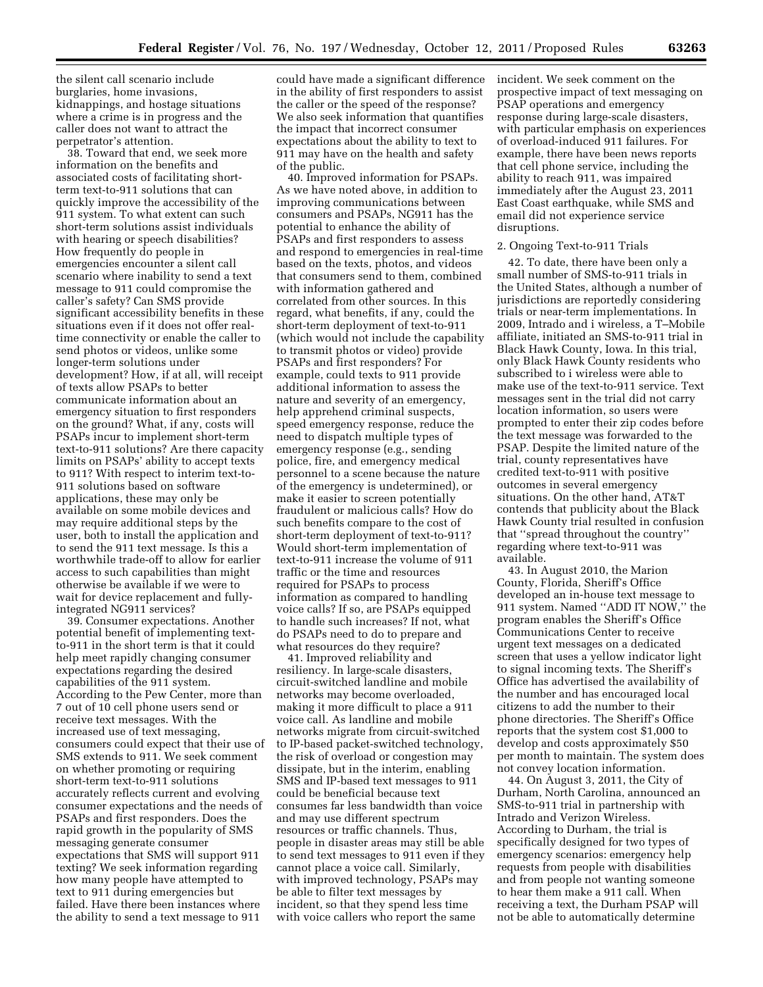the silent call scenario include burglaries, home invasions, kidnappings, and hostage situations where a crime is in progress and the caller does not want to attract the perpetrator's attention.

38. Toward that end, we seek more information on the benefits and associated costs of facilitating shortterm text-to-911 solutions that can quickly improve the accessibility of the 911 system. To what extent can such short-term solutions assist individuals with hearing or speech disabilities? How frequently do people in emergencies encounter a silent call scenario where inability to send a text message to 911 could compromise the caller's safety? Can SMS provide significant accessibility benefits in these situations even if it does not offer realtime connectivity or enable the caller to send photos or videos, unlike some longer-term solutions under development? How, if at all, will receipt of texts allow PSAPs to better communicate information about an emergency situation to first responders on the ground? What, if any, costs will PSAPs incur to implement short-term text-to-911 solutions? Are there capacity limits on PSAPs' ability to accept texts to 911? With respect to interim text-to-911 solutions based on software applications, these may only be available on some mobile devices and may require additional steps by the user, both to install the application and to send the 911 text message. Is this a worthwhile trade-off to allow for earlier access to such capabilities than might otherwise be available if we were to wait for device replacement and fullyintegrated NG911 services?

39. Consumer expectations. Another potential benefit of implementing textto-911 in the short term is that it could help meet rapidly changing consumer expectations regarding the desired capabilities of the 911 system. According to the Pew Center, more than 7 out of 10 cell phone users send or receive text messages. With the increased use of text messaging, consumers could expect that their use of SMS extends to 911. We seek comment on whether promoting or requiring short-term text-to-911 solutions accurately reflects current and evolving consumer expectations and the needs of PSAPs and first responders. Does the rapid growth in the popularity of SMS messaging generate consumer expectations that SMS will support 911 texting? We seek information regarding how many people have attempted to text to 911 during emergencies but failed. Have there been instances where the ability to send a text message to 911

could have made a significant difference in the ability of first responders to assist the caller or the speed of the response? We also seek information that quantifies the impact that incorrect consumer expectations about the ability to text to 911 may have on the health and safety of the public.

40. Improved information for PSAPs. As we have noted above, in addition to improving communications between consumers and PSAPs, NG911 has the potential to enhance the ability of PSAPs and first responders to assess and respond to emergencies in real-time based on the texts, photos, and videos that consumers send to them, combined with information gathered and correlated from other sources. In this regard, what benefits, if any, could the short-term deployment of text-to-911 (which would not include the capability to transmit photos or video) provide PSAPs and first responders? For example, could texts to 911 provide additional information to assess the nature and severity of an emergency, help apprehend criminal suspects, speed emergency response, reduce the need to dispatch multiple types of emergency response (e.g., sending police, fire, and emergency medical personnel to a scene because the nature of the emergency is undetermined), or make it easier to screen potentially fraudulent or malicious calls? How do such benefits compare to the cost of short-term deployment of text-to-911? Would short-term implementation of text-to-911 increase the volume of 911 traffic or the time and resources required for PSAPs to process information as compared to handling voice calls? If so, are PSAPs equipped to handle such increases? If not, what do PSAPs need to do to prepare and what resources do they require?

41. Improved reliability and resiliency. In large-scale disasters, circuit-switched landline and mobile networks may become overloaded, making it more difficult to place a 911 voice call. As landline and mobile networks migrate from circuit-switched to IP-based packet-switched technology, the risk of overload or congestion may dissipate, but in the interim, enabling SMS and IP-based text messages to 911 could be beneficial because text consumes far less bandwidth than voice and may use different spectrum resources or traffic channels. Thus, people in disaster areas may still be able to send text messages to 911 even if they cannot place a voice call. Similarly, with improved technology, PSAPs may be able to filter text messages by incident, so that they spend less time with voice callers who report the same

incident. We seek comment on the prospective impact of text messaging on PSAP operations and emergency response during large-scale disasters, with particular emphasis on experiences of overload-induced 911 failures. For example, there have been news reports that cell phone service, including the ability to reach 911, was impaired immediately after the August 23, 2011 East Coast earthquake, while SMS and email did not experience service disruptions.

### 2. Ongoing Text-to-911 Trials

42. To date, there have been only a small number of SMS-to-911 trials in the United States, although a number of jurisdictions are reportedly considering trials or near-term implementations. In 2009, Intrado and i wireless, a T–Mobile affiliate, initiated an SMS-to-911 trial in Black Hawk County, Iowa. In this trial, only Black Hawk County residents who subscribed to i wireless were able to make use of the text-to-911 service. Text messages sent in the trial did not carry location information, so users were prompted to enter their zip codes before the text message was forwarded to the PSAP. Despite the limited nature of the trial, county representatives have credited text-to-911 with positive outcomes in several emergency situations. On the other hand, AT&T contends that publicity about the Black Hawk County trial resulted in confusion that ''spread throughout the country'' regarding where text-to-911 was available.

43. In August 2010, the Marion County, Florida, Sheriff's Office developed an in-house text message to 911 system. Named ''ADD IT NOW,'' the program enables the Sheriff's Office Communications Center to receive urgent text messages on a dedicated screen that uses a yellow indicator light to signal incoming texts. The Sheriff's Office has advertised the availability of the number and has encouraged local citizens to add the number to their phone directories. The Sheriff's Office reports that the system cost \$1,000 to develop and costs approximately \$50 per month to maintain. The system does not convey location information.

44. On August 3, 2011, the City of Durham, North Carolina, announced an SMS-to-911 trial in partnership with Intrado and Verizon Wireless. According to Durham, the trial is specifically designed for two types of emergency scenarios: emergency help requests from people with disabilities and from people not wanting someone to hear them make a 911 call. When receiving a text, the Durham PSAP will not be able to automatically determine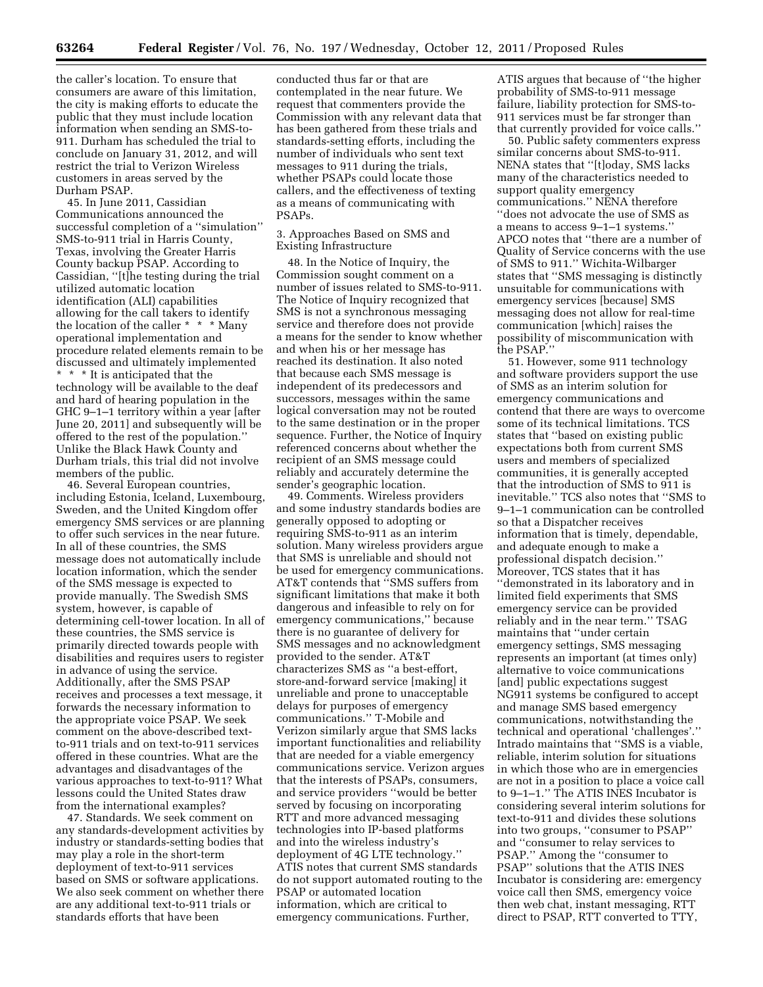the caller's location. To ensure that consumers are aware of this limitation, the city is making efforts to educate the public that they must include location information when sending an SMS-to-911. Durham has scheduled the trial to conclude on January 31, 2012, and will restrict the trial to Verizon Wireless customers in areas served by the Durham PSAP.

45. In June 2011, Cassidian Communications announced the successful completion of a ''simulation'' SMS-to-911 trial in Harris County, Texas, involving the Greater Harris County backup PSAP. According to Cassidian, ''[t]he testing during the trial utilized automatic location identification (ALI) capabilities allowing for the call takers to identify the location of the caller \* \* \* Many operational implementation and procedure related elements remain to be discussed and ultimately implemented \* \* \* It is anticipated that the technology will be available to the deaf and hard of hearing population in the GHC 9–1–1 territory within a year [after June 20, 2011] and subsequently will be offered to the rest of the population.'' Unlike the Black Hawk County and Durham trials, this trial did not involve members of the public.

46. Several European countries, including Estonia, Iceland, Luxembourg, Sweden, and the United Kingdom offer emergency SMS services or are planning to offer such services in the near future. In all of these countries, the SMS message does not automatically include location information, which the sender of the SMS message is expected to provide manually. The Swedish SMS system, however, is capable of determining cell-tower location. In all of these countries, the SMS service is primarily directed towards people with disabilities and requires users to register in advance of using the service. Additionally, after the SMS PSAP receives and processes a text message, it forwards the necessary information to the appropriate voice PSAP. We seek comment on the above-described textto-911 trials and on text-to-911 services offered in these countries. What are the advantages and disadvantages of the various approaches to text-to-911? What lessons could the United States draw from the international examples?

47. Standards. We seek comment on any standards-development activities by industry or standards-setting bodies that may play a role in the short-term deployment of text-to-911 services based on SMS or software applications. We also seek comment on whether there are any additional text-to-911 trials or standards efforts that have been

conducted thus far or that are contemplated in the near future. We request that commenters provide the Commission with any relevant data that has been gathered from these trials and standards-setting efforts, including the number of individuals who sent text messages to 911 during the trials, whether PSAPs could locate those callers, and the effectiveness of texting as a means of communicating with PSAPs.

3. Approaches Based on SMS and Existing Infrastructure

48. In the Notice of Inquiry, the Commission sought comment on a number of issues related to SMS-to-911. The Notice of Inquiry recognized that SMS is not a synchronous messaging service and therefore does not provide a means for the sender to know whether and when his or her message has reached its destination. It also noted that because each SMS message is independent of its predecessors and successors, messages within the same logical conversation may not be routed to the same destination or in the proper sequence. Further, the Notice of Inquiry referenced concerns about whether the recipient of an SMS message could reliably and accurately determine the sender's geographic location.

49. Comments. Wireless providers and some industry standards bodies are generally opposed to adopting or requiring SMS-to-911 as an interim solution. Many wireless providers argue that SMS is unreliable and should not be used for emergency communications. AT&T contends that ''SMS suffers from significant limitations that make it both dangerous and infeasible to rely on for emergency communications,'' because there is no guarantee of delivery for SMS messages and no acknowledgment provided to the sender. AT&T characterizes SMS as ''a best-effort, store-and-forward service [making] it unreliable and prone to unacceptable delays for purposes of emergency communications.'' T-Mobile and Verizon similarly argue that SMS lacks important functionalities and reliability that are needed for a viable emergency communications service. Verizon argues that the interests of PSAPs, consumers, and service providers ''would be better served by focusing on incorporating RTT and more advanced messaging technologies into IP-based platforms and into the wireless industry's deployment of 4G LTE technology.'' ATIS notes that current SMS standards do not support automated routing to the PSAP or automated location information, which are critical to emergency communications. Further,

ATIS argues that because of ''the higher probability of SMS-to-911 message failure, liability protection for SMS-to-911 services must be far stronger than that currently provided for voice calls.''

50. Public safety commenters express similar concerns about SMS-to-911. NENA states that ''[t]oday, SMS lacks many of the characteristics needed to support quality emergency communications.'' NENA therefore ''does not advocate the use of SMS as a means to access 9–1–1 systems.'' APCO notes that ''there are a number of Quality of Service concerns with the use of SMS to 911.'' Wichita-Wilbarger states that ''SMS messaging is distinctly unsuitable for communications with emergency services [because] SMS messaging does not allow for real-time communication [which] raises the possibility of miscommunication with the PSAP.

51. However, some 911 technology and software providers support the use of SMS as an interim solution for emergency communications and contend that there are ways to overcome some of its technical limitations. TCS states that ''based on existing public expectations both from current SMS users and members of specialized communities, it is generally accepted that the introduction of SMS to 911 is inevitable.'' TCS also notes that ''SMS to 9–1–1 communication can be controlled so that a Dispatcher receives information that is timely, dependable, and adequate enough to make a professional dispatch decision.'' Moreover, TCS states that it has ''demonstrated in its laboratory and in limited field experiments that SMS emergency service can be provided reliably and in the near term.'' TSAG maintains that ''under certain emergency settings, SMS messaging represents an important (at times only) alternative to voice communications [and] public expectations suggest NG911 systems be configured to accept and manage SMS based emergency communications, notwithstanding the technical and operational 'challenges'.'' Intrado maintains that ''SMS is a viable, reliable, interim solution for situations in which those who are in emergencies are not in a position to place a voice call to 9–1–1.'' The ATIS INES Incubator is considering several interim solutions for text-to-911 and divides these solutions into two groups, ''consumer to PSAP'' and ''consumer to relay services to PSAP.'' Among the ''consumer to PSAP'' solutions that the ATIS INES Incubator is considering are: emergency voice call then SMS, emergency voice then web chat, instant messaging, RTT direct to PSAP, RTT converted to TTY,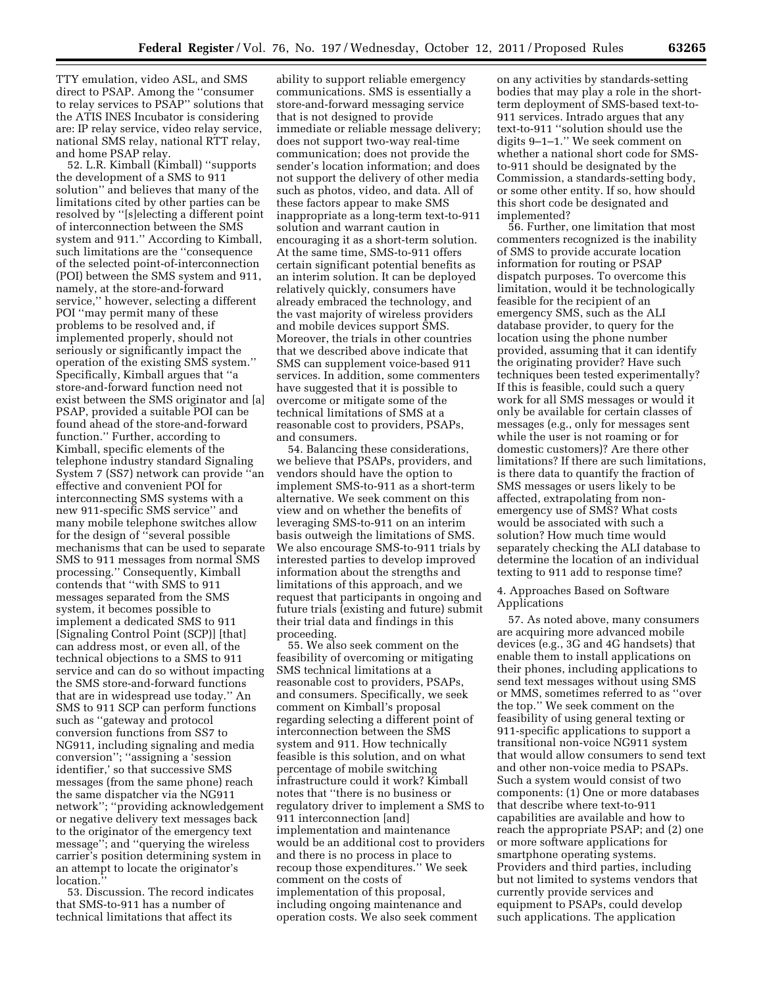TTY emulation, video ASL, and SMS direct to PSAP. Among the ''consumer to relay services to PSAP'' solutions that the ATIS INES Incubator is considering are: IP relay service, video relay service, national SMS relay, national RTT relay, and home PSAP relay.

52. L.R. Kimball (Kimball) ''supports the development of a SMS to 911 solution'' and believes that many of the limitations cited by other parties can be resolved by ''[s]electing a different point of interconnection between the SMS system and 911.'' According to Kimball, such limitations are the ''consequence of the selected point-of-interconnection (POI) between the SMS system and 911, namely, at the store-and-forward service,'' however, selecting a different POI ''may permit many of these problems to be resolved and, if implemented properly, should not seriously or significantly impact the operation of the existing SMS system.'' Specifically, Kimball argues that ''a store-and-forward function need not exist between the SMS originator and [a] PSAP, provided a suitable POI can be found ahead of the store-and-forward function.'' Further, according to Kimball, specific elements of the telephone industry standard Signaling System 7 (SS7) network can provide ''an effective and convenient POI for interconnecting SMS systems with a new 911-specific SMS service'' and many mobile telephone switches allow for the design of ''several possible mechanisms that can be used to separate SMS to 911 messages from normal SMS processing.'' Consequently, Kimball contends that ''with SMS to 911 messages separated from the SMS system, it becomes possible to implement a dedicated SMS to 911 [Signaling Control Point (SCP)] [that] can address most, or even all, of the technical objections to a SMS to 911 service and can do so without impacting the SMS store-and-forward functions that are in widespread use today.'' An SMS to 911 SCP can perform functions such as ''gateway and protocol conversion functions from SS7 to NG911, including signaling and media conversion''; ''assigning a 'session identifier,' so that successive SMS messages (from the same phone) reach the same dispatcher via the NG911 network''; ''providing acknowledgement or negative delivery text messages back to the originator of the emergency text message''; and ''querying the wireless carrier's position determining system in an attempt to locate the originator's location.'

53. Discussion. The record indicates that SMS-to-911 has a number of technical limitations that affect its

ability to support reliable emergency communications. SMS is essentially a store-and-forward messaging service that is not designed to provide immediate or reliable message delivery; does not support two-way real-time communication; does not provide the sender's location information; and does not support the delivery of other media such as photos, video, and data. All of these factors appear to make SMS inappropriate as a long-term text-to-911 solution and warrant caution in encouraging it as a short-term solution. At the same time, SMS-to-911 offers certain significant potential benefits as an interim solution. It can be deployed relatively quickly, consumers have already embraced the technology, and the vast majority of wireless providers and mobile devices support SMS. Moreover, the trials in other countries that we described above indicate that SMS can supplement voice-based 911 services. In addition, some commenters have suggested that it is possible to overcome or mitigate some of the technical limitations of SMS at a reasonable cost to providers, PSAPs, and consumers.

54. Balancing these considerations, we believe that PSAPs, providers, and vendors should have the option to implement SMS-to-911 as a short-term alternative. We seek comment on this view and on whether the benefits of leveraging SMS-to-911 on an interim basis outweigh the limitations of SMS. We also encourage SMS-to-911 trials by interested parties to develop improved information about the strengths and limitations of this approach, and we request that participants in ongoing and future trials (existing and future) submit their trial data and findings in this proceeding.

55. We also seek comment on the feasibility of overcoming or mitigating SMS technical limitations at a reasonable cost to providers, PSAPs, and consumers. Specifically, we seek comment on Kimball's proposal regarding selecting a different point of interconnection between the SMS system and 911. How technically feasible is this solution, and on what percentage of mobile switching infrastructure could it work? Kimball notes that ''there is no business or regulatory driver to implement a SMS to 911 interconnection [and] implementation and maintenance would be an additional cost to providers and there is no process in place to recoup those expenditures.'' We seek comment on the costs of implementation of this proposal, including ongoing maintenance and operation costs. We also seek comment

on any activities by standards-setting bodies that may play a role in the shortterm deployment of SMS-based text-to-911 services. Intrado argues that any text-to-911 ''solution should use the digits 9–1–1.'' We seek comment on whether a national short code for SMSto-911 should be designated by the Commission, a standards-setting body, or some other entity. If so, how should this short code be designated and implemented?

56. Further, one limitation that most commenters recognized is the inability of SMS to provide accurate location information for routing or PSAP dispatch purposes. To overcome this limitation, would it be technologically feasible for the recipient of an emergency SMS, such as the ALI database provider, to query for the location using the phone number provided, assuming that it can identify the originating provider? Have such techniques been tested experimentally? If this is feasible, could such a query work for all SMS messages or would it only be available for certain classes of messages (e.g., only for messages sent while the user is not roaming or for domestic customers)? Are there other limitations? If there are such limitations, is there data to quantify the fraction of SMS messages or users likely to be affected, extrapolating from nonemergency use of SMS? What costs would be associated with such a solution? How much time would separately checking the ALI database to determine the location of an individual texting to 911 add to response time?

4. Approaches Based on Software Applications

57. As noted above, many consumers are acquiring more advanced mobile devices (e.g., 3G and 4G handsets) that enable them to install applications on their phones, including applications to send text messages without using SMS or MMS, sometimes referred to as ''over the top.'' We seek comment on the feasibility of using general texting or 911-specific applications to support a transitional non-voice NG911 system that would allow consumers to send text and other non-voice media to PSAPs. Such a system would consist of two components: (1) One or more databases that describe where text-to-911 capabilities are available and how to reach the appropriate PSAP; and (2) one or more software applications for smartphone operating systems. Providers and third parties, including but not limited to systems vendors that currently provide services and equipment to PSAPs, could develop such applications. The application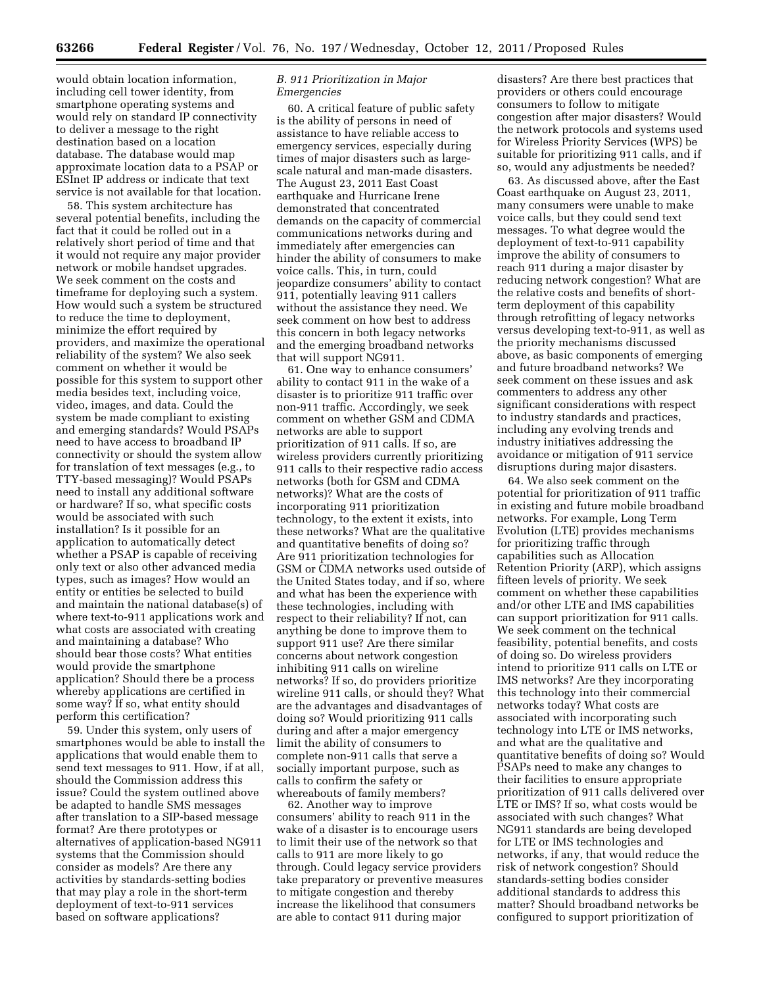would obtain location information, including cell tower identity, from smartphone operating systems and would rely on standard IP connectivity to deliver a message to the right destination based on a location database. The database would map approximate location data to a PSAP or ESInet IP address or indicate that text service is not available for that location.

58. This system architecture has several potential benefits, including the fact that it could be rolled out in a relatively short period of time and that it would not require any major provider network or mobile handset upgrades. We seek comment on the costs and timeframe for deploying such a system. How would such a system be structured to reduce the time to deployment, minimize the effort required by providers, and maximize the operational reliability of the system? We also seek comment on whether it would be possible for this system to support other media besides text, including voice, video, images, and data. Could the system be made compliant to existing and emerging standards? Would PSAPs need to have access to broadband IP connectivity or should the system allow for translation of text messages (e.g., to TTY-based messaging)? Would PSAPs need to install any additional software or hardware? If so, what specific costs would be associated with such installation? Is it possible for an application to automatically detect whether a PSAP is capable of receiving only text or also other advanced media types, such as images? How would an entity or entities be selected to build and maintain the national database(s) of where text-to-911 applications work and what costs are associated with creating and maintaining a database? Who should bear those costs? What entities would provide the smartphone application? Should there be a process whereby applications are certified in some way? If so, what entity should perform this certification?

59. Under this system, only users of smartphones would be able to install the applications that would enable them to send text messages to 911. How, if at all, should the Commission address this issue? Could the system outlined above be adapted to handle SMS messages after translation to a SIP-based message format? Are there prototypes or alternatives of application-based NG911 systems that the Commission should consider as models? Are there any activities by standards-setting bodies that may play a role in the short-term deployment of text-to-911 services based on software applications?

# *B. 911 Prioritization in Major Emergencies*

60. A critical feature of public safety is the ability of persons in need of assistance to have reliable access to emergency services, especially during times of major disasters such as largescale natural and man-made disasters. The August 23, 2011 East Coast earthquake and Hurricane Irene demonstrated that concentrated demands on the capacity of commercial communications networks during and immediately after emergencies can hinder the ability of consumers to make voice calls. This, in turn, could jeopardize consumers' ability to contact 911, potentially leaving 911 callers without the assistance they need. We seek comment on how best to address this concern in both legacy networks and the emerging broadband networks that will support NG911.

61. One way to enhance consumers' ability to contact 911 in the wake of a disaster is to prioritize 911 traffic over non-911 traffic. Accordingly, we seek comment on whether GSM and CDMA networks are able to support prioritization of 911 calls. If so, are wireless providers currently prioritizing 911 calls to their respective radio access networks (both for GSM and CDMA networks)? What are the costs of incorporating 911 prioritization technology, to the extent it exists, into these networks? What are the qualitative and quantitative benefits of doing so? Are 911 prioritization technologies for GSM or CDMA networks used outside of the United States today, and if so, where and what has been the experience with these technologies, including with respect to their reliability? If not, can anything be done to improve them to support 911 use? Are there similar concerns about network congestion inhibiting 911 calls on wireline networks? If so, do providers prioritize wireline 911 calls, or should they? What are the advantages and disadvantages of doing so? Would prioritizing 911 calls during and after a major emergency limit the ability of consumers to complete non-911 calls that serve a socially important purpose, such as calls to confirm the safety or whereabouts of family members?

62. Another way to improve consumers' ability to reach 911 in the wake of a disaster is to encourage users to limit their use of the network so that calls to 911 are more likely to go through. Could legacy service providers take preparatory or preventive measures to mitigate congestion and thereby increase the likelihood that consumers are able to contact 911 during major

disasters? Are there best practices that providers or others could encourage consumers to follow to mitigate congestion after major disasters? Would the network protocols and systems used for Wireless Priority Services (WPS) be suitable for prioritizing 911 calls, and if so, would any adjustments be needed?

63. As discussed above, after the East Coast earthquake on August 23, 2011, many consumers were unable to make voice calls, but they could send text messages. To what degree would the deployment of text-to-911 capability improve the ability of consumers to reach 911 during a major disaster by reducing network congestion? What are the relative costs and benefits of shortterm deployment of this capability through retrofitting of legacy networks versus developing text-to-911, as well as the priority mechanisms discussed above, as basic components of emerging and future broadband networks? We seek comment on these issues and ask commenters to address any other significant considerations with respect to industry standards and practices, including any evolving trends and industry initiatives addressing the avoidance or mitigation of 911 service disruptions during major disasters.

64. We also seek comment on the potential for prioritization of 911 traffic in existing and future mobile broadband networks. For example, Long Term Evolution (LTE) provides mechanisms for prioritizing traffic through capabilities such as Allocation Retention Priority (ARP), which assigns fifteen levels of priority. We seek comment on whether these capabilities and/or other LTE and IMS capabilities can support prioritization for 911 calls. We seek comment on the technical feasibility, potential benefits, and costs of doing so. Do wireless providers intend to prioritize 911 calls on LTE or IMS networks? Are they incorporating this technology into their commercial networks today? What costs are associated with incorporating such technology into LTE or IMS networks, and what are the qualitative and quantitative benefits of doing so? Would PSAPs need to make any changes to their facilities to ensure appropriate prioritization of 911 calls delivered over LTE or IMS? If so, what costs would be associated with such changes? What NG911 standards are being developed for LTE or IMS technologies and networks, if any, that would reduce the risk of network congestion? Should standards-setting bodies consider additional standards to address this matter? Should broadband networks be configured to support prioritization of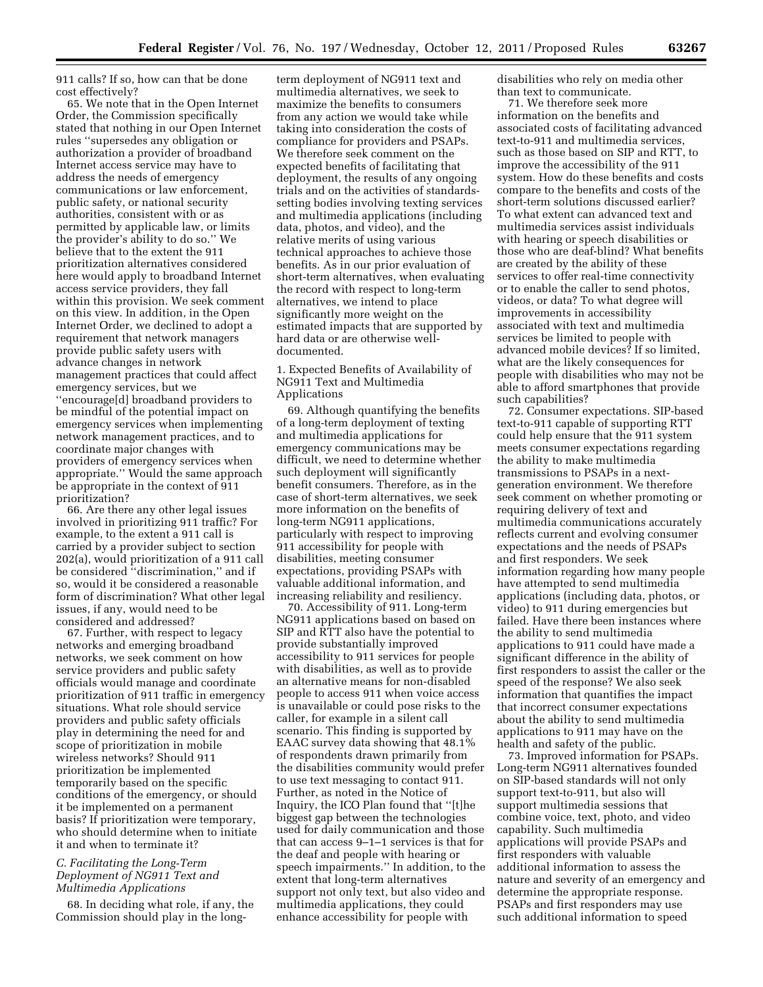911 calls? If so, how can that be done cost effectively?

65. We note that in the Open Internet Order, the Commission specifically stated that nothing in our Open Internet rules ''supersedes any obligation or authorization a provider of broadband Internet access service may have to address the needs of emergency communications or law enforcement, public safety, or national security authorities, consistent with or as permitted by applicable law, or limits the provider's ability to do so.'' We believe that to the extent the 911 prioritization alternatives considered here would apply to broadband Internet access service providers, they fall within this provision. We seek comment on this view. In addition, in the Open Internet Order, we declined to adopt a requirement that network managers provide public safety users with advance changes in network management practices that could affect emergency services, but we ''encourage[d] broadband providers to be mindful of the potential impact on emergency services when implementing network management practices, and to coordinate major changes with providers of emergency services when appropriate.'' Would the same approach be appropriate in the context of 911 prioritization?

66. Are there any other legal issues involved in prioritizing 911 traffic? For example, to the extent a 911 call is carried by a provider subject to section 202(a), would prioritization of a 911 call be considered ''discrimination,'' and if so, would it be considered a reasonable form of discrimination? What other legal issues, if any, would need to be considered and addressed?

67. Further, with respect to legacy networks and emerging broadband networks, we seek comment on how service providers and public safety officials would manage and coordinate prioritization of 911 traffic in emergency situations. What role should service providers and public safety officials play in determining the need for and scope of prioritization in mobile wireless networks? Should 911 prioritization be implemented temporarily based on the specific conditions of the emergency, or should it be implemented on a permanent basis? If prioritization were temporary, who should determine when to initiate it and when to terminate it?

### *C. Facilitating the Long-Term Deployment of NG911 Text and Multimedia Applications*

68. In deciding what role, if any, the Commission should play in the long-

term deployment of NG911 text and multimedia alternatives, we seek to maximize the benefits to consumers from any action we would take while taking into consideration the costs of compliance for providers and PSAPs. We therefore seek comment on the expected benefits of facilitating that deployment, the results of any ongoing trials and on the activities of standardssetting bodies involving texting services and multimedia applications (including data, photos, and video), and the relative merits of using various technical approaches to achieve those benefits. As in our prior evaluation of short-term alternatives, when evaluating the record with respect to long-term alternatives, we intend to place significantly more weight on the estimated impacts that are supported by hard data or are otherwise welldocumented.

1. Expected Benefits of Availability of NG911 Text and Multimedia Applications

69. Although quantifying the benefits of a long-term deployment of texting and multimedia applications for emergency communications may be difficult, we need to determine whether such deployment will significantly benefit consumers. Therefore, as in the case of short-term alternatives, we seek more information on the benefits of long-term NG911 applications, particularly with respect to improving 911 accessibility for people with disabilities, meeting consumer expectations, providing PSAPs with valuable additional information, and increasing reliability and resiliency.

70. Accessibility of 911. Long-term NG911 applications based on based on SIP and RTT also have the potential to provide substantially improved accessibility to 911 services for people with disabilities, as well as to provide an alternative means for non-disabled people to access 911 when voice access is unavailable or could pose risks to the caller, for example in a silent call scenario. This finding is supported by EAAC survey data showing that 48.1% of respondents drawn primarily from the disabilities community would prefer to use text messaging to contact 911. Further, as noted in the Notice of Inquiry, the ICO Plan found that ''[t]he biggest gap between the technologies used for daily communication and those that can access 9–1–1 services is that for the deaf and people with hearing or speech impairments.'' In addition, to the extent that long-term alternatives support not only text, but also video and multimedia applications, they could enhance accessibility for people with

disabilities who rely on media other than text to communicate.

71. We therefore seek more information on the benefits and associated costs of facilitating advanced text-to-911 and multimedia services, such as those based on SIP and RTT, to improve the accessibility of the 911 system. How do these benefits and costs compare to the benefits and costs of the short-term solutions discussed earlier? To what extent can advanced text and multimedia services assist individuals with hearing or speech disabilities or those who are deaf-blind? What benefits are created by the ability of these services to offer real-time connectivity or to enable the caller to send photos, videos, or data? To what degree will improvements in accessibility associated with text and multimedia services be limited to people with advanced mobile devices? If so limited, what are the likely consequences for people with disabilities who may not be able to afford smartphones that provide such capabilities?

72. Consumer expectations. SIP-based text-to-911 capable of supporting RTT could help ensure that the 911 system meets consumer expectations regarding the ability to make multimedia transmissions to PSAPs in a nextgeneration environment. We therefore seek comment on whether promoting or requiring delivery of text and multimedia communications accurately reflects current and evolving consumer expectations and the needs of PSAPs and first responders. We seek information regarding how many people have attempted to send multimedia applications (including data, photos, or video) to 911 during emergencies but failed. Have there been instances where the ability to send multimedia applications to 911 could have made a significant difference in the ability of first responders to assist the caller or the speed of the response? We also seek information that quantifies the impact that incorrect consumer expectations about the ability to send multimedia applications to 911 may have on the health and safety of the public.

73. Improved information for PSAPs. Long-term NG911 alternatives founded on SIP-based standards will not only support text-to-911, but also will support multimedia sessions that combine voice, text, photo, and video capability. Such multimedia applications will provide PSAPs and first responders with valuable additional information to assess the nature and severity of an emergency and determine the appropriate response. PSAPs and first responders may use such additional information to speed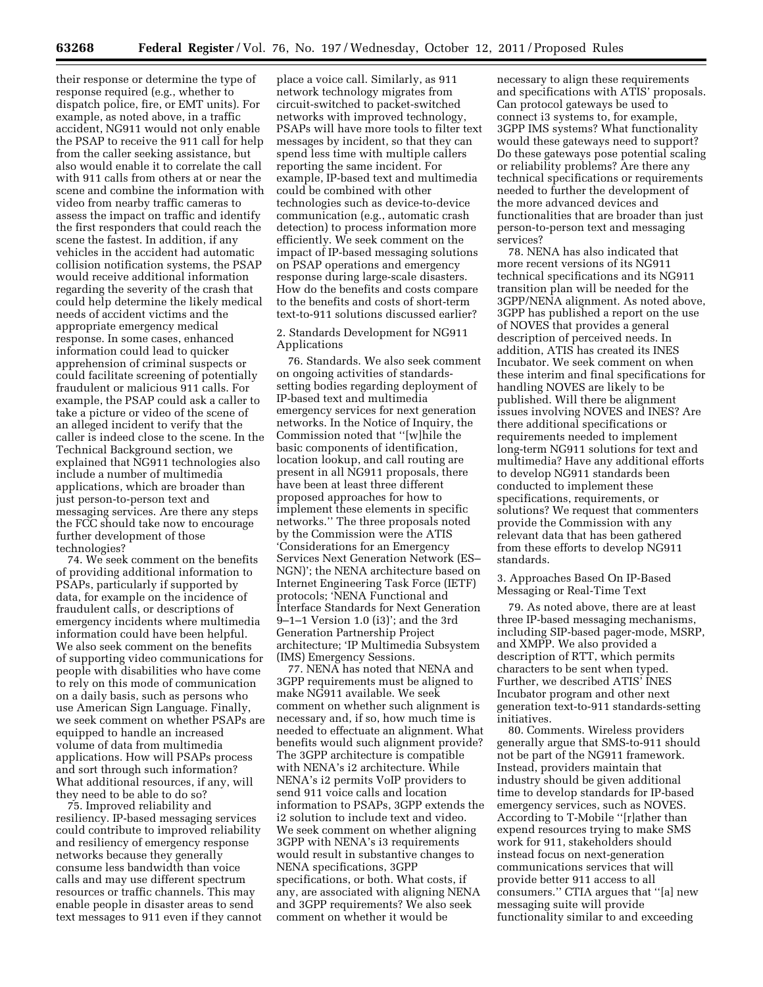their response or determine the type of response required (e.g., whether to dispatch police, fire, or EMT units). For example, as noted above, in a traffic accident, NG911 would not only enable the PSAP to receive the 911 call for help from the caller seeking assistance, but also would enable it to correlate the call with 911 calls from others at or near the scene and combine the information with video from nearby traffic cameras to assess the impact on traffic and identify the first responders that could reach the scene the fastest. In addition, if any vehicles in the accident had automatic collision notification systems, the PSAP would receive additional information regarding the severity of the crash that could help determine the likely medical needs of accident victims and the appropriate emergency medical response. In some cases, enhanced information could lead to quicker apprehension of criminal suspects or could facilitate screening of potentially fraudulent or malicious 911 calls. For example, the PSAP could ask a caller to take a picture or video of the scene of an alleged incident to verify that the caller is indeed close to the scene. In the Technical Background section, we explained that NG911 technologies also include a number of multimedia applications, which are broader than just person-to-person text and messaging services. Are there any steps the FCC should take now to encourage further development of those technologies?

74. We seek comment on the benefits of providing additional information to PSAPs, particularly if supported by data, for example on the incidence of fraudulent calls, or descriptions of emergency incidents where multimedia information could have been helpful. We also seek comment on the benefits of supporting video communications for people with disabilities who have come to rely on this mode of communication on a daily basis, such as persons who use American Sign Language. Finally, we seek comment on whether PSAPs are equipped to handle an increased volume of data from multimedia applications. How will PSAPs process and sort through such information? What additional resources, if any, will they need to be able to do so?

75. Improved reliability and resiliency. IP-based messaging services could contribute to improved reliability and resiliency of emergency response networks because they generally consume less bandwidth than voice calls and may use different spectrum resources or traffic channels. This may enable people in disaster areas to send text messages to 911 even if they cannot

place a voice call. Similarly, as 911 network technology migrates from circuit-switched to packet-switched networks with improved technology, PSAPs will have more tools to filter text messages by incident, so that they can spend less time with multiple callers reporting the same incident. For example, IP-based text and multimedia could be combined with other technologies such as device-to-device communication (e.g., automatic crash detection) to process information more efficiently. We seek comment on the impact of IP-based messaging solutions on PSAP operations and emergency response during large-scale disasters. How do the benefits and costs compare to the benefits and costs of short-term text-to-911 solutions discussed earlier?

2. Standards Development for NG911 Applications

76. Standards. We also seek comment on ongoing activities of standardssetting bodies regarding deployment of IP-based text and multimedia emergency services for next generation networks. In the Notice of Inquiry, the Commission noted that ''[w]hile the basic components of identification, location lookup, and call routing are present in all NG911 proposals, there have been at least three different proposed approaches for how to implement these elements in specific networks.'' The three proposals noted by the Commission were the ATIS 'Considerations for an Emergency Services Next Generation Network (ES– NGN)'; the NENA architecture based on Internet Engineering Task Force (IETF) protocols; 'NENA Functional and Interface Standards for Next Generation 9–1–1 Version 1.0 (i3)'; and the 3rd Generation Partnership Project architecture; 'IP Multimedia Subsystem (IMS) Emergency Sessions.

77. NENA has noted that NENA and 3GPP requirements must be aligned to make NG911 available. We seek comment on whether such alignment is necessary and, if so, how much time is needed to effectuate an alignment. What benefits would such alignment provide? The 3GPP architecture is compatible with NENA's i2 architecture. While NENA's i2 permits VoIP providers to send 911 voice calls and location information to PSAPs, 3GPP extends the i2 solution to include text and video. We seek comment on whether aligning 3GPP with NENA's i3 requirements would result in substantive changes to NENA specifications, 3GPP specifications, or both. What costs, if any, are associated with aligning NENA and 3GPP requirements? We also seek comment on whether it would be

necessary to align these requirements and specifications with ATIS' proposals. Can protocol gateways be used to connect i3 systems to, for example, 3GPP IMS systems? What functionality would these gateways need to support? Do these gateways pose potential scaling or reliability problems? Are there any technical specifications or requirements needed to further the development of the more advanced devices and functionalities that are broader than just person-to-person text and messaging services?

78. NENA has also indicated that more recent versions of its NG911 technical specifications and its NG911 transition plan will be needed for the 3GPP/NENA alignment. As noted above, 3GPP has published a report on the use of NOVES that provides a general description of perceived needs. In addition, ATIS has created its INES Incubator. We seek comment on when these interim and final specifications for handling NOVES are likely to be published. Will there be alignment issues involving NOVES and INES? Are there additional specifications or requirements needed to implement long-term NG911 solutions for text and multimedia? Have any additional efforts to develop NG911 standards been conducted to implement these specifications, requirements, or solutions? We request that commenters provide the Commission with any relevant data that has been gathered from these efforts to develop NG911 standards.

3. Approaches Based On IP-Based Messaging or Real-Time Text

79. As noted above, there are at least three IP-based messaging mechanisms, including SIP-based pager-mode, MSRP, and XMPP. We also provided a description of RTT, which permits characters to be sent when typed. Further, we described ATIS' INES Incubator program and other next generation text-to-911 standards-setting initiatives.

80. Comments. Wireless providers generally argue that SMS-to-911 should not be part of the NG911 framework. Instead, providers maintain that industry should be given additional time to develop standards for IP-based emergency services, such as NOVES. According to T-Mobile ''[r]ather than expend resources trying to make SMS work for 911, stakeholders should instead focus on next-generation communications services that will provide better 911 access to all consumers.'' CTIA argues that ''[a] new messaging suite will provide functionality similar to and exceeding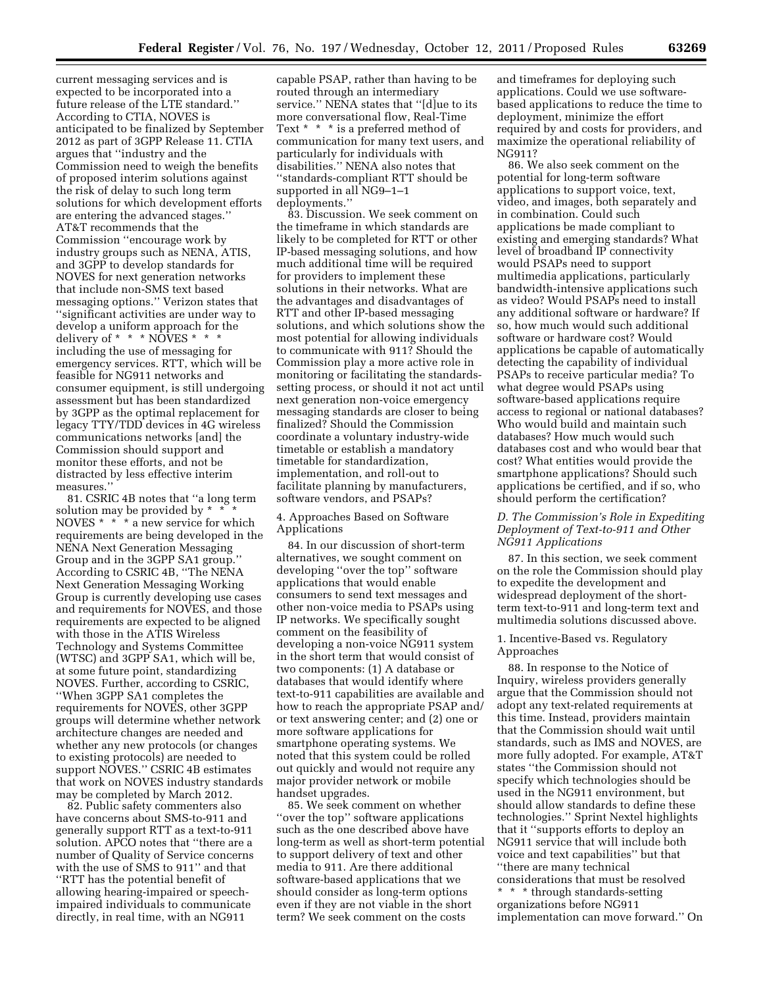current messaging services and is expected to be incorporated into a future release of the LTE standard.'' According to CTIA, NOVES is anticipated to be finalized by September 2012 as part of 3GPP Release 11. CTIA argues that ''industry and the Commission need to weigh the benefits of proposed interim solutions against the risk of delay to such long term solutions for which development efforts are entering the advanced stages.'' AT&T recommends that the Commission ''encourage work by industry groups such as NENA, ATIS, and 3GPP to develop standards for NOVES for next generation networks that include non-SMS text based messaging options.'' Verizon states that ''significant activities are under way to develop a uniform approach for the delivery of  $* * * N\overline{O}VES * * *$ including the use of messaging for emergency services. RTT, which will be feasible for NG911 networks and consumer equipment, is still undergoing assessment but has been standardized by 3GPP as the optimal replacement for legacy TTY/TDD devices in 4G wireless communications networks [and] the Commission should support and monitor these efforts, and not be distracted by less effective interim measures.''

81. CSRIC 4B notes that ''a long term solution may be provided by \* \* \* NOVES \* \* \* a new service for which requirements are being developed in the NENA Next Generation Messaging Group and in the 3GPP SA1 group.'' According to CSRIC 4B, ''The NENA Next Generation Messaging Working Group is currently developing use cases and requirements for NOVES, and those requirements are expected to be aligned with those in the ATIS Wireless Technology and Systems Committee (WTSC) and 3GPP SA1, which will be, at some future point, standardizing NOVES. Further, according to CSRIC, ''When 3GPP SA1 completes the requirements for NOVES, other 3GPP groups will determine whether network architecture changes are needed and whether any new protocols (or changes to existing protocols) are needed to support NOVES.'' CSRIC 4B estimates that work on NOVES industry standards may be completed by March 2012.

82. Public safety commenters also have concerns about SMS-to-911 and generally support RTT as a text-to-911 solution. APCO notes that ''there are a number of Quality of Service concerns with the use of SMS to 911'' and that ''RTT has the potential benefit of allowing hearing-impaired or speechimpaired individuals to communicate directly, in real time, with an NG911

capable PSAP, rather than having to be routed through an intermediary service.'' NENA states that ''[d]ue to its more conversational flow, Real-Time Text \* \* \* is a preferred method of communication for many text users, and particularly for individuals with disabilities.'' NENA also notes that ''standards-compliant RTT should be supported in all NG9–1–1 deployments.''

83. Discussion. We seek comment on the timeframe in which standards are likely to be completed for RTT or other IP-based messaging solutions, and how much additional time will be required for providers to implement these solutions in their networks. What are the advantages and disadvantages of RTT and other IP-based messaging solutions, and which solutions show the most potential for allowing individuals to communicate with 911? Should the Commission play a more active role in monitoring or facilitating the standardssetting process, or should it not act until next generation non-voice emergency messaging standards are closer to being finalized? Should the Commission coordinate a voluntary industry-wide timetable or establish a mandatory timetable for standardization, implementation, and roll-out to facilitate planning by manufacturers, software vendors, and PSAPs?

# 4. Approaches Based on Software Applications

84. In our discussion of short-term alternatives, we sought comment on developing ''over the top'' software applications that would enable consumers to send text messages and other non-voice media to PSAPs using IP networks. We specifically sought comment on the feasibility of developing a non-voice NG911 system in the short term that would consist of two components: (1) A database or databases that would identify where text-to-911 capabilities are available and how to reach the appropriate PSAP and/ or text answering center; and (2) one or more software applications for smartphone operating systems. We noted that this system could be rolled out quickly and would not require any major provider network or mobile handset upgrades.

85. We seek comment on whether ''over the top'' software applications such as the one described above have long-term as well as short-term potential to support delivery of text and other media to 911. Are there additional software-based applications that we should consider as long-term options even if they are not viable in the short term? We seek comment on the costs

and timeframes for deploying such applications. Could we use softwarebased applications to reduce the time to deployment, minimize the effort required by and costs for providers, and maximize the operational reliability of NG911?

86. We also seek comment on the potential for long-term software applications to support voice, text, video, and images, both separately and in combination. Could such applications be made compliant to existing and emerging standards? What level of broadband IP connectivity would PSAPs need to support multimedia applications, particularly bandwidth-intensive applications such as video? Would PSAPs need to install any additional software or hardware? If so, how much would such additional software or hardware cost? Would applications be capable of automatically detecting the capability of individual PSAPs to receive particular media? To what degree would PSAPs using software-based applications require access to regional or national databases? Who would build and maintain such databases? How much would such databases cost and who would bear that cost? What entities would provide the smartphone applications? Should such applications be certified, and if so, who should perform the certification?

# *D. The Commission's Role in Expediting Deployment of Text-to-911 and Other NG911 Applications*

87. In this section, we seek comment on the role the Commission should play to expedite the development and widespread deployment of the shortterm text-to-911 and long-term text and multimedia solutions discussed above.

### 1. Incentive-Based vs. Regulatory Approaches

88. In response to the Notice of Inquiry, wireless providers generally argue that the Commission should not adopt any text-related requirements at this time. Instead, providers maintain that the Commission should wait until standards, such as IMS and NOVES, are more fully adopted. For example, AT&T states ''the Commission should not specify which technologies should be used in the NG911 environment, but should allow standards to define these technologies.'' Sprint Nextel highlights that it ''supports efforts to deploy an NG911 service that will include both voice and text capabilities'' but that ''there are many technical considerations that must be resolved \* \* \* through standards-setting organizations before NG911 implementation can move forward.'' On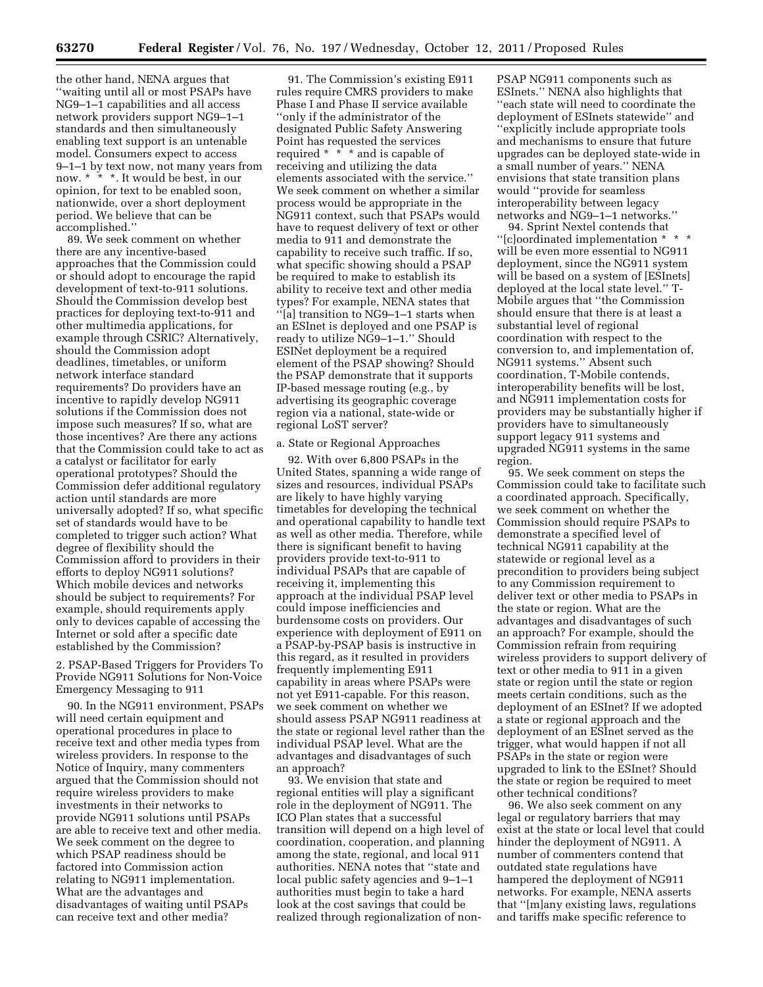the other hand, NENA argues that ''waiting until all or most PSAPs have NG9–1–1 capabilities and all access network providers support NG9–1–1 standards and then simultaneously enabling text support is an untenable model. Consumers expect to access 9–1–1 by text now, not many years from now. \* \* \*. It would be best, in our opinion, for text to be enabled soon, nationwide, over a short deployment period. We believe that can be accomplished.''

89. We seek comment on whether there are any incentive-based approaches that the Commission could or should adopt to encourage the rapid development of text-to-911 solutions. Should the Commission develop best practices for deploying text-to-911 and other multimedia applications, for example through CSRIC? Alternatively, should the Commission adopt deadlines, timetables, or uniform network interface standard requirements? Do providers have an incentive to rapidly develop NG911 solutions if the Commission does not impose such measures? If so, what are those incentives? Are there any actions that the Commission could take to act as a catalyst or facilitator for early operational prototypes? Should the Commission defer additional regulatory action until standards are more universally adopted? If so, what specific set of standards would have to be completed to trigger such action? What degree of flexibility should the Commission afford to providers in their efforts to deploy NG911 solutions? Which mobile devices and networks should be subject to requirements? For example, should requirements apply only to devices capable of accessing the Internet or sold after a specific date established by the Commission?

2. PSAP-Based Triggers for Providers To Provide NG911 Solutions for Non-Voice Emergency Messaging to 911

90. In the NG911 environment, PSAPs will need certain equipment and operational procedures in place to receive text and other media types from wireless providers. In response to the Notice of Inquiry, many commenters argued that the Commission should not require wireless providers to make investments in their networks to provide NG911 solutions until PSAPs are able to receive text and other media. We seek comment on the degree to which PSAP readiness should be factored into Commission action relating to NG911 implementation. What are the advantages and disadvantages of waiting until PSAPs can receive text and other media?

91. The Commission's existing E911 rules require CMRS providers to make Phase I and Phase II service available ''only if the administrator of the designated Public Safety Answering Point has requested the services required \* \* \* and is capable of receiving and utilizing the data elements associated with the service.'' We seek comment on whether a similar process would be appropriate in the NG911 context, such that PSAPs would have to request delivery of text or other media to 911 and demonstrate the capability to receive such traffic. If so, what specific showing should a PSAP be required to make to establish its ability to receive text and other media types? For example, NENA states that ''[a] transition to NG9–1–1 starts when an ESInet is deployed and one PSAP is ready to utilize NG9–1–1.'' Should ESINet deployment be a required element of the PSAP showing? Should the PSAP demonstrate that it supports IP-based message routing (e.g., by advertising its geographic coverage region via a national, state-wide or regional LoST server?

#### a. State or Regional Approaches

92. With over 6,800 PSAPs in the United States, spanning a wide range of sizes and resources, individual PSAPs are likely to have highly varying timetables for developing the technical and operational capability to handle text as well as other media. Therefore, while there is significant benefit to having providers provide text-to-911 to individual PSAPs that are capable of receiving it, implementing this approach at the individual PSAP level could impose inefficiencies and burdensome costs on providers. Our experience with deployment of E911 on a PSAP-by-PSAP basis is instructive in this regard, as it resulted in providers frequently implementing E911 capability in areas where PSAPs were not yet E911-capable. For this reason, we seek comment on whether we should assess PSAP NG911 readiness at the state or regional level rather than the individual PSAP level. What are the advantages and disadvantages of such an approach?

93. We envision that state and regional entities will play a significant role in the deployment of NG911. The ICO Plan states that a successful transition will depend on a high level of coordination, cooperation, and planning among the state, regional, and local 911 authorities. NENA notes that ''state and local public safety agencies and 9–1–1 authorities must begin to take a hard look at the cost savings that could be realized through regionalization of nonPSAP NG911 components such as ESInets.'' NENA also highlights that ''each state will need to coordinate the deployment of ESInets statewide'' and ''explicitly include appropriate tools and mechanisms to ensure that future upgrades can be deployed state-wide in a small number of years.'' NENA envisions that state transition plans would ''provide for seamless interoperability between legacy networks and NG9–1–1 networks.''

94. Sprint Nextel contends that ''[c]oordinated implementation \* \* \* will be even more essential to NG911 deployment, since the NG911 system will be based on a system of [ESInets] deployed at the local state level.'' T-Mobile argues that ''the Commission should ensure that there is at least a substantial level of regional coordination with respect to the conversion to, and implementation of, NG911 systems.'' Absent such coordination, T-Mobile contends, interoperability benefits will be lost, and NG911 implementation costs for providers may be substantially higher if providers have to simultaneously support legacy 911 systems and upgraded NG911 systems in the same region.

95. We seek comment on steps the Commission could take to facilitate such a coordinated approach. Specifically, we seek comment on whether the Commission should require PSAPs to demonstrate a specified level of technical NG911 capability at the statewide or regional level as a precondition to providers being subject to any Commission requirement to deliver text or other media to PSAPs in the state or region. What are the advantages and disadvantages of such an approach? For example, should the Commission refrain from requiring wireless providers to support delivery of text or other media to 911 in a given state or region until the state or region meets certain conditions, such as the deployment of an ESInet? If we adopted a state or regional approach and the deployment of an ESInet served as the trigger, what would happen if not all PSAPs in the state or region were upgraded to link to the ESInet? Should the state or region be required to meet other technical conditions?

96. We also seek comment on any legal or regulatory barriers that may exist at the state or local level that could hinder the deployment of NG911. A number of commenters contend that outdated state regulations have hampered the deployment of NG911 networks. For example, NENA asserts that ''[m]any existing laws, regulations and tariffs make specific reference to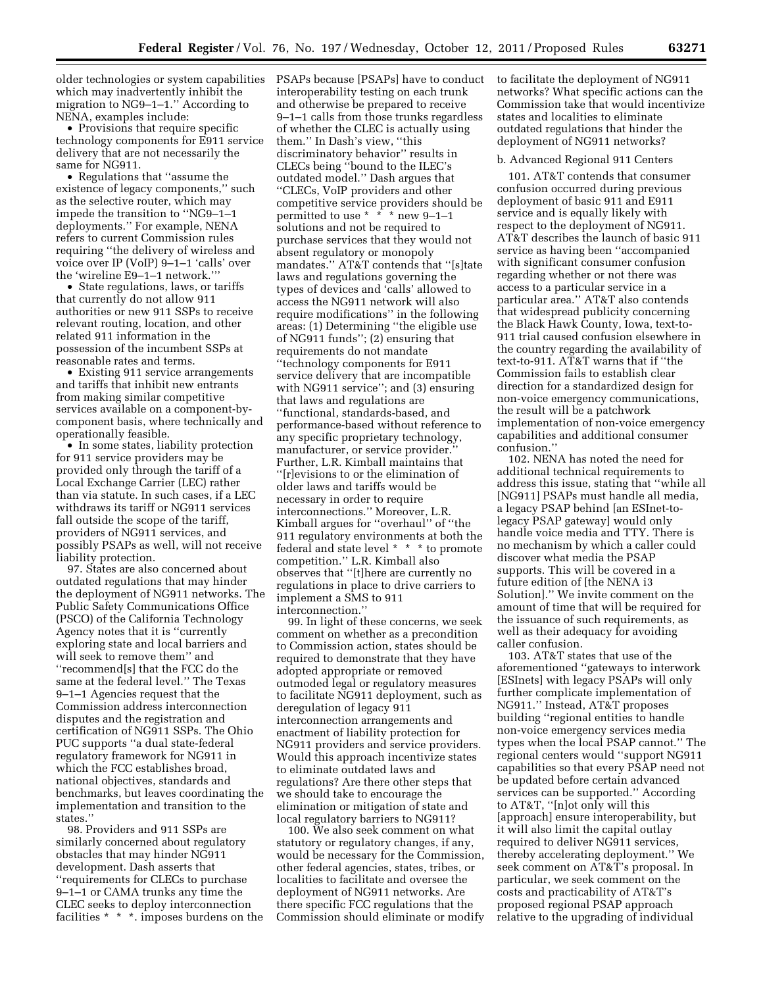older technologies or system capabilities which may inadvertently inhibit the migration to NG9–1–1.'' According to NENA, examples include:

• Provisions that require specific technology components for E911 service delivery that are not necessarily the same for NG911.

• Regulations that ''assume the existence of legacy components,'' such as the selective router, which may impede the transition to ''NG9–1–1 deployments.'' For example, NENA refers to current Commission rules requiring ''the delivery of wireless and voice over IP (VoIP) 9–1–1 'calls' over the 'wireline E9–1–1 network.'''

• State regulations, laws, or tariffs that currently do not allow 911 authorities or new 911 SSPs to receive relevant routing, location, and other related 911 information in the possession of the incumbent SSPs at reasonable rates and terms.

• Existing 911 service arrangements and tariffs that inhibit new entrants from making similar competitive services available on a component-bycomponent basis, where technically and operationally feasible.

• In some states, liability protection for 911 service providers may be provided only through the tariff of a Local Exchange Carrier (LEC) rather than via statute. In such cases, if a LEC withdraws its tariff or NG911 services fall outside the scope of the tariff, providers of NG911 services, and possibly PSAPs as well, will not receive liability protection.

97. States are also concerned about outdated regulations that may hinder the deployment of NG911 networks. The Public Safety Communications Office (PSCO) of the California Technology Agency notes that it is ''currently exploring state and local barriers and will seek to remove them'' and ''recommend[s] that the FCC do the same at the federal level.'' The Texas 9–1–1 Agencies request that the Commission address interconnection disputes and the registration and certification of NG911 SSPs. The Ohio PUC supports ''a dual state-federal regulatory framework for NG911 in which the FCC establishes broad, national objectives, standards and benchmarks, but leaves coordinating the implementation and transition to the states.''

98. Providers and 911 SSPs are similarly concerned about regulatory obstacles that may hinder NG911 development. Dash asserts that ''requirements for CLECs to purchase 9–1–1 or CAMA trunks any time the CLEC seeks to deploy interconnection facilities \* \* \*. imposes burdens on the PSAPs because [PSAPs] have to conduct interoperability testing on each trunk and otherwise be prepared to receive 9–1–1 calls from those trunks regardless of whether the CLEC is actually using them.'' In Dash's view, ''this discriminatory behavior'' results in CLECs being ''bound to the ILEC's outdated model.'' Dash argues that ''CLECs, VoIP providers and other competitive service providers should be permitted to use  $*$   $*$   $*$  new 9-1-1 solutions and not be required to purchase services that they would not absent regulatory or monopoly mandates.'' AT&T contends that ''[s]tate laws and regulations governing the types of devices and 'calls' allowed to access the NG911 network will also require modifications'' in the following areas: (1) Determining ''the eligible use of NG911 funds''; (2) ensuring that requirements do not mandate ''technology components for E911 service delivery that are incompatible with NG911 service''; and (3) ensuring that laws and regulations are ''functional, standards-based, and performance-based without reference to any specific proprietary technology, manufacturer, or service provider.'' Further, L.R. Kimball maintains that ''[r]evisions to or the elimination of older laws and tariffs would be necessary in order to require interconnections.'' Moreover, L.R. Kimball argues for ''overhaul'' of ''the 911 regulatory environments at both the federal and state level \* \* \* to promote competition.'' L.R. Kimball also observes that ''[t]here are currently no regulations in place to drive carriers to implement a SMS to 911 interconnection.''

99. In light of these concerns, we seek comment on whether as a precondition to Commission action, states should be required to demonstrate that they have adopted appropriate or removed outmoded legal or regulatory measures to facilitate NG911 deployment, such as deregulation of legacy 911 interconnection arrangements and enactment of liability protection for NG911 providers and service providers. Would this approach incentivize states to eliminate outdated laws and regulations? Are there other steps that we should take to encourage the elimination or mitigation of state and local regulatory barriers to NG911?

100. We also seek comment on what statutory or regulatory changes, if any, would be necessary for the Commission, other federal agencies, states, tribes, or localities to facilitate and oversee the deployment of NG911 networks. Are there specific FCC regulations that the Commission should eliminate or modify to facilitate the deployment of NG911 networks? What specific actions can the Commission take that would incentivize states and localities to eliminate outdated regulations that hinder the deployment of NG911 networks?

#### b. Advanced Regional 911 Centers

101. AT&T contends that consumer confusion occurred during previous deployment of basic 911 and E911 service and is equally likely with respect to the deployment of NG911. AT&T describes the launch of basic 911 service as having been ''accompanied with significant consumer confusion regarding whether or not there was access to a particular service in a particular area.'' AT&T also contends that widespread publicity concerning the Black Hawk County, Iowa, text-to-911 trial caused confusion elsewhere in the country regarding the availability of text-to-911. AT&T warns that if ''the Commission fails to establish clear direction for a standardized design for non-voice emergency communications, the result will be a patchwork implementation of non-voice emergency capabilities and additional consumer confusion.''

102. NENA has noted the need for additional technical requirements to address this issue, stating that ''while all [NG911] PSAPs must handle all media, a legacy PSAP behind [an ESInet-tolegacy PSAP gateway] would only handle voice media and TTY. There is no mechanism by which a caller could discover what media the PSAP supports. This will be covered in a future edition of [the NENA i3 Solution].'' We invite comment on the amount of time that will be required for the issuance of such requirements, as well as their adequacy for avoiding caller confusion.

103. AT&T states that use of the aforementioned ''gateways to interwork [ESInets] with legacy PSAPs will only further complicate implementation of NG911.'' Instead, AT&T proposes building ''regional entities to handle non-voice emergency services media types when the local PSAP cannot.'' The regional centers would ''support NG911 capabilities so that every PSAP need not be updated before certain advanced services can be supported.'' According to AT&T, ''[n]ot only will this [approach] ensure interoperability, but it will also limit the capital outlay required to deliver NG911 services, thereby accelerating deployment.'' We seek comment on AT&T's proposal. In particular, we seek comment on the costs and practicability of AT&T's proposed regional PSAP approach relative to the upgrading of individual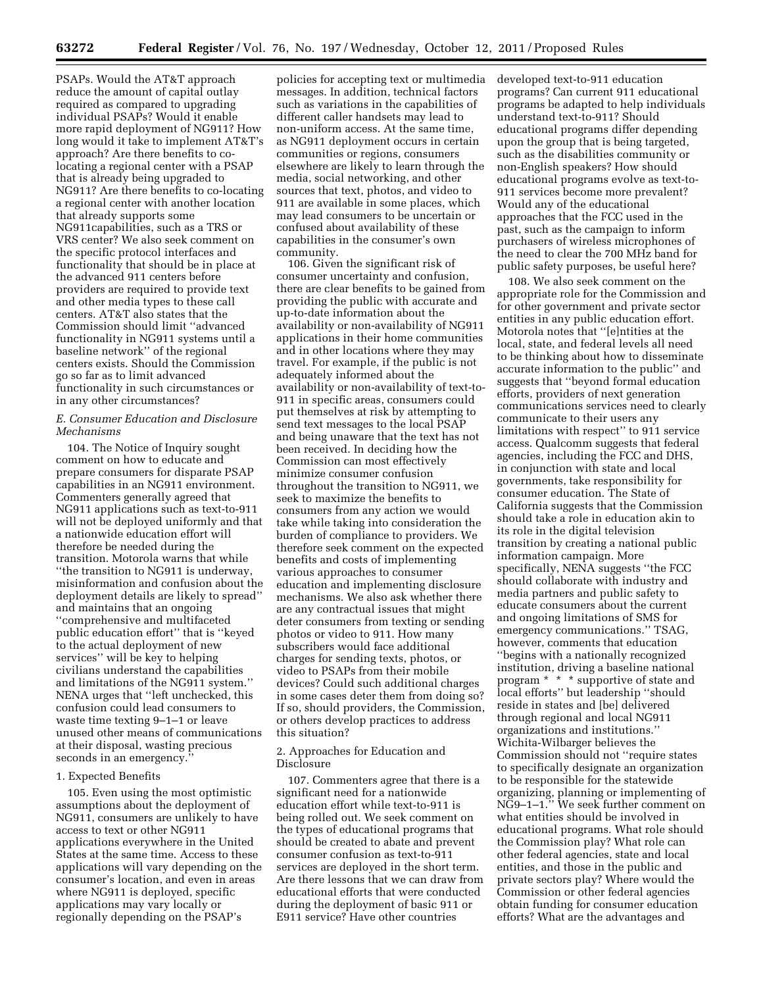PSAPs. Would the AT&T approach reduce the amount of capital outlay required as compared to upgrading individual PSAPs? Would it enable more rapid deployment of NG911? How long would it take to implement AT&T's approach? Are there benefits to colocating a regional center with a PSAP that is already being upgraded to NG911? Are there benefits to co-locating a regional center with another location that already supports some NG911capabilities, such as a TRS or VRS center? We also seek comment on the specific protocol interfaces and functionality that should be in place at the advanced 911 centers before providers are required to provide text and other media types to these call centers. AT&T also states that the Commission should limit ''advanced functionality in NG911 systems until a baseline network'' of the regional centers exists. Should the Commission go so far as to limit advanced functionality in such circumstances or in any other circumstances?

# *E. Consumer Education and Disclosure Mechanisms*

104. The Notice of Inquiry sought comment on how to educate and prepare consumers for disparate PSAP capabilities in an NG911 environment. Commenters generally agreed that NG911 applications such as text-to-911 will not be deployed uniformly and that a nationwide education effort will therefore be needed during the transition. Motorola warns that while ''the transition to NG911 is underway, misinformation and confusion about the deployment details are likely to spread'' and maintains that an ongoing ''comprehensive and multifaceted public education effort'' that is ''keyed to the actual deployment of new services'' will be key to helping civilians understand the capabilities and limitations of the NG911 system.'' NENA urges that ''left unchecked, this confusion could lead consumers to waste time texting 9–1–1 or leave unused other means of communications at their disposal, wasting precious seconds in an emergency.''

#### 1. Expected Benefits

105. Even using the most optimistic assumptions about the deployment of NG911, consumers are unlikely to have access to text or other NG911 applications everywhere in the United States at the same time. Access to these applications will vary depending on the consumer's location, and even in areas where NG911 is deployed, specific applications may vary locally or regionally depending on the PSAP's

policies for accepting text or multimedia messages. In addition, technical factors such as variations in the capabilities of different caller handsets may lead to non-uniform access. At the same time, as NG911 deployment occurs in certain communities or regions, consumers elsewhere are likely to learn through the media, social networking, and other sources that text, photos, and video to 911 are available in some places, which may lead consumers to be uncertain or confused about availability of these capabilities in the consumer's own community.

106. Given the significant risk of consumer uncertainty and confusion, there are clear benefits to be gained from providing the public with accurate and up-to-date information about the availability or non-availability of NG911 applications in their home communities and in other locations where they may travel. For example, if the public is not adequately informed about the availability or non-availability of text-to-911 in specific areas, consumers could put themselves at risk by attempting to send text messages to the local PSAP and being unaware that the text has not been received. In deciding how the Commission can most effectively minimize consumer confusion throughout the transition to NG911, we seek to maximize the benefits to consumers from any action we would take while taking into consideration the burden of compliance to providers. We therefore seek comment on the expected benefits and costs of implementing various approaches to consumer education and implementing disclosure mechanisms. We also ask whether there are any contractual issues that might deter consumers from texting or sending photos or video to 911. How many subscribers would face additional charges for sending texts, photos, or video to PSAPs from their mobile devices? Could such additional charges in some cases deter them from doing so? If so, should providers, the Commission, or others develop practices to address this situation?

# 2. Approaches for Education and Disclosure

107. Commenters agree that there is a significant need for a nationwide education effort while text-to-911 is being rolled out. We seek comment on the types of educational programs that should be created to abate and prevent consumer confusion as text-to-911 services are deployed in the short term. Are there lessons that we can draw from educational efforts that were conducted during the deployment of basic 911 or E911 service? Have other countries

developed text-to-911 education programs? Can current 911 educational programs be adapted to help individuals understand text-to-911? Should educational programs differ depending upon the group that is being targeted, such as the disabilities community or non-English speakers? How should educational programs evolve as text-to-911 services become more prevalent? Would any of the educational approaches that the FCC used in the past, such as the campaign to inform purchasers of wireless microphones of the need to clear the 700 MHz band for public safety purposes, be useful here?

108. We also seek comment on the appropriate role for the Commission and for other government and private sector entities in any public education effort. Motorola notes that ''[e]ntities at the local, state, and federal levels all need to be thinking about how to disseminate accurate information to the public'' and suggests that ''beyond formal education efforts, providers of next generation communications services need to clearly communicate to their users any limitations with respect'' to 911 service access. Qualcomm suggests that federal agencies, including the FCC and DHS, in conjunction with state and local governments, take responsibility for consumer education. The State of California suggests that the Commission should take a role in education akin to its role in the digital television transition by creating a national public information campaign. More specifically, NENA suggests ''the FCC should collaborate with industry and media partners and public safety to educate consumers about the current and ongoing limitations of SMS for emergency communications.'' TSAG, however, comments that education ''begins with a nationally recognized institution, driving a baseline national program \* \* \* supportive of state and local efforts'' but leadership ''should reside in states and [be] delivered through regional and local NG911 organizations and institutions.'' Wichita-Wilbarger believes the Commission should not ''require states to specifically designate an organization to be responsible for the statewide organizing, planning or implementing of NG9–1–1.'' We seek further comment on what entities should be involved in educational programs. What role should the Commission play? What role can other federal agencies, state and local entities, and those in the public and private sectors play? Where would the Commission or other federal agencies obtain funding for consumer education efforts? What are the advantages and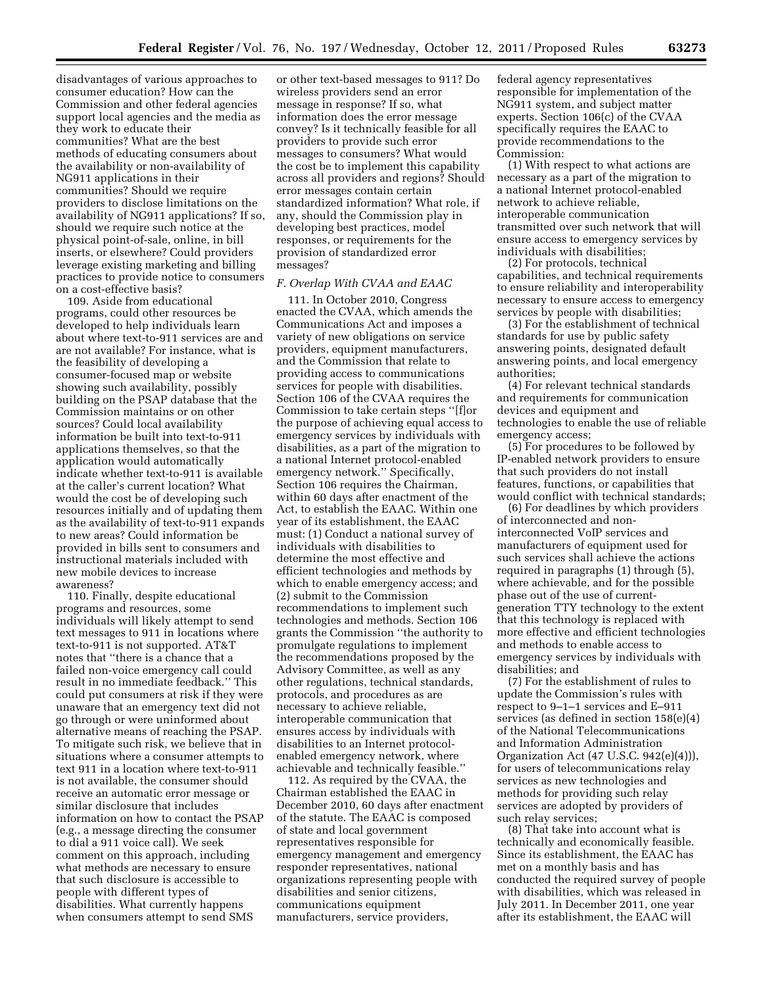disadvantages of various approaches to consumer education? How can the Commission and other federal agencies support local agencies and the media as they work to educate their communities? What are the best methods of educating consumers about the availability or non-availability of NG911 applications in their communities? Should we require providers to disclose limitations on the availability of NG911 applications? If so, should we require such notice at the physical point-of-sale, online, in bill inserts, or elsewhere? Could providers leverage existing marketing and billing practices to provide notice to consumers on a cost-effective basis?

109. Aside from educational programs, could other resources be developed to help individuals learn about where text-to-911 services are and are not available? For instance, what is the feasibility of developing a consumer-focused map or website showing such availability, possibly building on the PSAP database that the Commission maintains or on other sources? Could local availability information be built into text-to-911 applications themselves, so that the application would automatically indicate whether text-to-911 is available at the caller's current location? What would the cost be of developing such resources initially and of updating them as the availability of text-to-911 expands to new areas? Could information be provided in bills sent to consumers and instructional materials included with new mobile devices to increase awareness?

110. Finally, despite educational programs and resources, some individuals will likely attempt to send text messages to 911 in locations where text-to-911 is not supported. AT&T notes that ''there is a chance that a failed non-voice emergency call could result in no immediate feedback.'' This could put consumers at risk if they were unaware that an emergency text did not go through or were uninformed about alternative means of reaching the PSAP. To mitigate such risk, we believe that in situations where a consumer attempts to text 911 in a location where text-to-911 is not available, the consumer should receive an automatic error message or similar disclosure that includes information on how to contact the PSAP (e.g., a message directing the consumer to dial a 911 voice call). We seek comment on this approach, including what methods are necessary to ensure that such disclosure is accessible to people with different types of disabilities. What currently happens when consumers attempt to send SMS

or other text-based messages to 911? Do wireless providers send an error message in response? If so, what information does the error message convey? Is it technically feasible for all providers to provide such error messages to consumers? What would the cost be to implement this capability across all providers and regions? Should error messages contain certain standardized information? What role, if any, should the Commission play in developing best practices, model responses, or requirements for the provision of standardized error messages?

### *F. Overlap With CVAA and EAAC*

111. In October 2010, Congress enacted the CVAA, which amends the Communications Act and imposes a variety of new obligations on service providers, equipment manufacturers, and the Commission that relate to providing access to communications services for people with disabilities. Section 106 of the CVAA requires the Commission to take certain steps ''[f]or the purpose of achieving equal access to emergency services by individuals with disabilities, as a part of the migration to a national Internet protocol-enabled emergency network.'' Specifically, Section 106 requires the Chairman, within 60 days after enactment of the Act, to establish the EAAC. Within one year of its establishment, the EAAC must: (1) Conduct a national survey of individuals with disabilities to determine the most effective and efficient technologies and methods by which to enable emergency access; and (2) submit to the Commission recommendations to implement such technologies and methods. Section 106 grants the Commission ''the authority to promulgate regulations to implement the recommendations proposed by the Advisory Committee, as well as any other regulations, technical standards, protocols, and procedures as are necessary to achieve reliable, interoperable communication that ensures access by individuals with disabilities to an Internet protocolenabled emergency network, where achievable and technically feasible.''

112. As required by the CVAA, the Chairman established the EAAC in December 2010, 60 days after enactment of the statute. The EAAC is composed of state and local government representatives responsible for emergency management and emergency responder representatives, national organizations representing people with disabilities and senior citizens, communications equipment manufacturers, service providers,

federal agency representatives responsible for implementation of the NG911 system, and subject matter experts. Section 106(c) of the CVAA specifically requires the EAAC to provide recommendations to the Commission:

(1) With respect to what actions are necessary as a part of the migration to a national Internet protocol-enabled network to achieve reliable, interoperable communication transmitted over such network that will ensure access to emergency services by individuals with disabilities;

(2) For protocols, technical capabilities, and technical requirements to ensure reliability and interoperability necessary to ensure access to emergency services by people with disabilities;

(3) For the establishment of technical standards for use by public safety answering points, designated default answering points, and local emergency authorities;

(4) For relevant technical standards and requirements for communication devices and equipment and technologies to enable the use of reliable emergency access;

(5) For procedures to be followed by IP-enabled network providers to ensure that such providers do not install features, functions, or capabilities that would conflict with technical standards;

(6) For deadlines by which providers of interconnected and noninterconnected VoIP services and manufacturers of equipment used for such services shall achieve the actions required in paragraphs (1) through (5), where achievable, and for the possible phase out of the use of currentgeneration TTY technology to the extent that this technology is replaced with more effective and efficient technologies and methods to enable access to emergency services by individuals with disabilities; and

(7) For the establishment of rules to update the Commission's rules with respect to 9–1–1 services and E–911 services (as defined in section 158(e)(4) of the National Telecommunications and Information Administration Organization Act (47 U.S.C. 942(e)(4))), for users of telecommunications relay services as new technologies and methods for providing such relay services are adopted by providers of such relay services;

(8) That take into account what is technically and economically feasible. Since its establishment, the EAAC has met on a monthly basis and has conducted the required survey of people with disabilities, which was released in July 2011. In December 2011, one year after its establishment, the EAAC will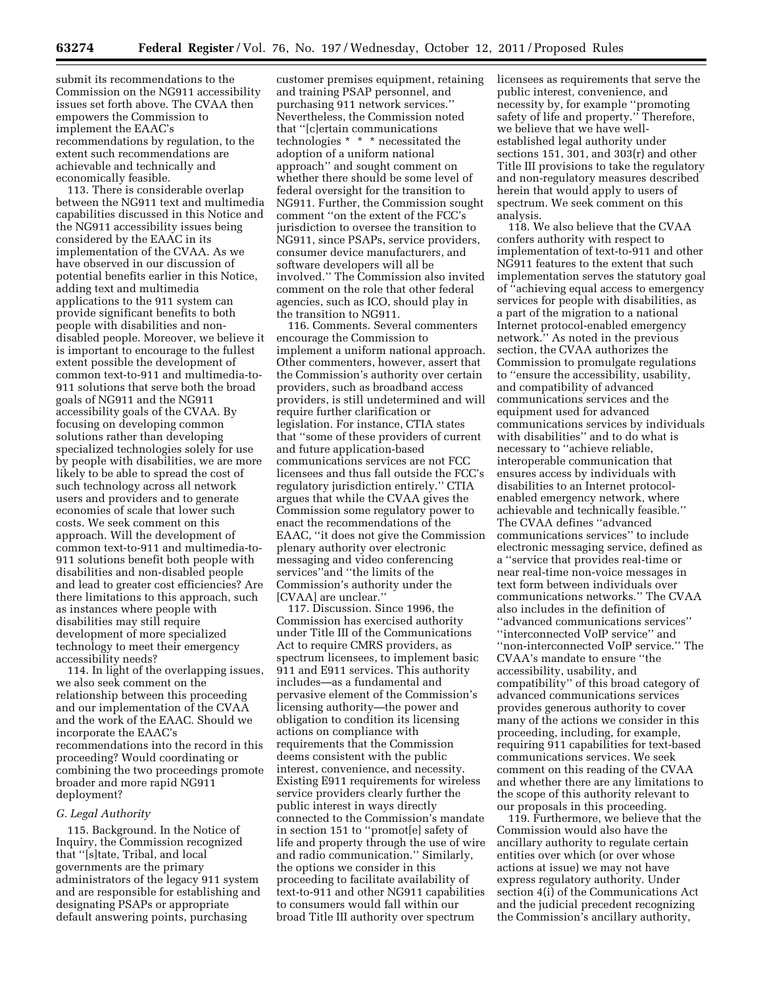submit its recommendations to the Commission on the NG911 accessibility issues set forth above. The CVAA then empowers the Commission to implement the EAAC's recommendations by regulation, to the extent such recommendations are achievable and technically and economically feasible.

113. There is considerable overlap between the NG911 text and multimedia capabilities discussed in this Notice and the NG911 accessibility issues being considered by the EAAC in its implementation of the CVAA. As we have observed in our discussion of potential benefits earlier in this Notice, adding text and multimedia applications to the 911 system can provide significant benefits to both people with disabilities and nondisabled people. Moreover, we believe it is important to encourage to the fullest extent possible the development of common text-to-911 and multimedia-to-911 solutions that serve both the broad goals of NG911 and the NG911 accessibility goals of the CVAA. By focusing on developing common solutions rather than developing specialized technologies solely for use by people with disabilities, we are more likely to be able to spread the cost of such technology across all network users and providers and to generate economies of scale that lower such costs. We seek comment on this approach. Will the development of common text-to-911 and multimedia-to-911 solutions benefit both people with disabilities and non-disabled people and lead to greater cost efficiencies? Are there limitations to this approach, such as instances where people with disabilities may still require development of more specialized technology to meet their emergency accessibility needs?

114. In light of the overlapping issues, we also seek comment on the relationship between this proceeding and our implementation of the CVAA and the work of the EAAC. Should we incorporate the EAAC's recommendations into the record in this proceeding? Would coordinating or combining the two proceedings promote broader and more rapid NG911 deployment?

#### *G. Legal Authority*

115. Background. In the Notice of Inquiry, the Commission recognized that ''[s]tate, Tribal, and local governments are the primary administrators of the legacy 911 system and are responsible for establishing and designating PSAPs or appropriate default answering points, purchasing

customer premises equipment, retaining and training PSAP personnel, and purchasing 911 network services.'' Nevertheless, the Commission noted that ''[c]ertain communications technologies \* \* \* necessitated the adoption of a uniform national approach'' and sought comment on whether there should be some level of federal oversight for the transition to NG911. Further, the Commission sought comment ''on the extent of the FCC's jurisdiction to oversee the transition to NG911, since PSAPs, service providers, consumer device manufacturers, and software developers will all be involved.'' The Commission also invited comment on the role that other federal agencies, such as ICO, should play in the transition to NG911.

116. Comments. Several commenters encourage the Commission to implement a uniform national approach. Other commenters, however, assert that the Commission's authority over certain providers, such as broadband access providers, is still undetermined and will require further clarification or legislation. For instance, CTIA states that ''some of these providers of current and future application-based communications services are not FCC licensees and thus fall outside the FCC's regulatory jurisdiction entirely.'' CTIA argues that while the CVAA gives the Commission some regulatory power to enact the recommendations of the EAAC, ''it does not give the Commission plenary authority over electronic messaging and video conferencing services''and ''the limits of the Commission's authority under the [CVAA] are unclear.''

117. Discussion. Since 1996, the Commission has exercised authority under Title III of the Communications Act to require CMRS providers, as spectrum licensees, to implement basic 911 and E911 services. This authority includes—as a fundamental and pervasive element of the Commission's licensing authority—the power and obligation to condition its licensing actions on compliance with requirements that the Commission deems consistent with the public interest, convenience, and necessity. Existing E911 requirements for wireless service providers clearly further the public interest in ways directly connected to the Commission's mandate in section 151 to ''promot[e] safety of life and property through the use of wire and radio communication.'' Similarly, the options we consider in this proceeding to facilitate availability of text-to-911 and other NG911 capabilities to consumers would fall within our broad Title III authority over spectrum

licensees as requirements that serve the public interest, convenience, and necessity by, for example ''promoting safety of life and property.'' Therefore, we believe that we have wellestablished legal authority under sections 151, 301, and 303(r) and other Title III provisions to take the regulatory and non-regulatory measures described herein that would apply to users of spectrum. We seek comment on this analysis.

118. We also believe that the CVAA confers authority with respect to implementation of text-to-911 and other NG911 features to the extent that such implementation serves the statutory goal of ''achieving equal access to emergency services for people with disabilities, as a part of the migration to a national Internet protocol-enabled emergency network.'' As noted in the previous section, the CVAA authorizes the Commission to promulgate regulations to ''ensure the accessibility, usability, and compatibility of advanced communications services and the equipment used for advanced communications services by individuals with disabilities'' and to do what is necessary to ''achieve reliable, interoperable communication that ensures access by individuals with disabilities to an Internet protocolenabled emergency network, where achievable and technically feasible.'' The CVAA defines ''advanced communications services'' to include electronic messaging service, defined as a ''service that provides real-time or near real-time non-voice messages in text form between individuals over communications networks.'' The CVAA also includes in the definition of ''advanced communications services'' ''interconnected VoIP service'' and ''non-interconnected VoIP service.'' The CVAA's mandate to ensure ''the accessibility, usability, and compatibility'' of this broad category of advanced communications services provides generous authority to cover many of the actions we consider in this proceeding, including, for example, requiring 911 capabilities for text-based communications services. We seek comment on this reading of the CVAA and whether there are any limitations to the scope of this authority relevant to our proposals in this proceeding.

119. Furthermore, we believe that the Commission would also have the ancillary authority to regulate certain entities over which (or over whose actions at issue) we may not have express regulatory authority. Under section 4(i) of the Communications Act and the judicial precedent recognizing the Commission's ancillary authority,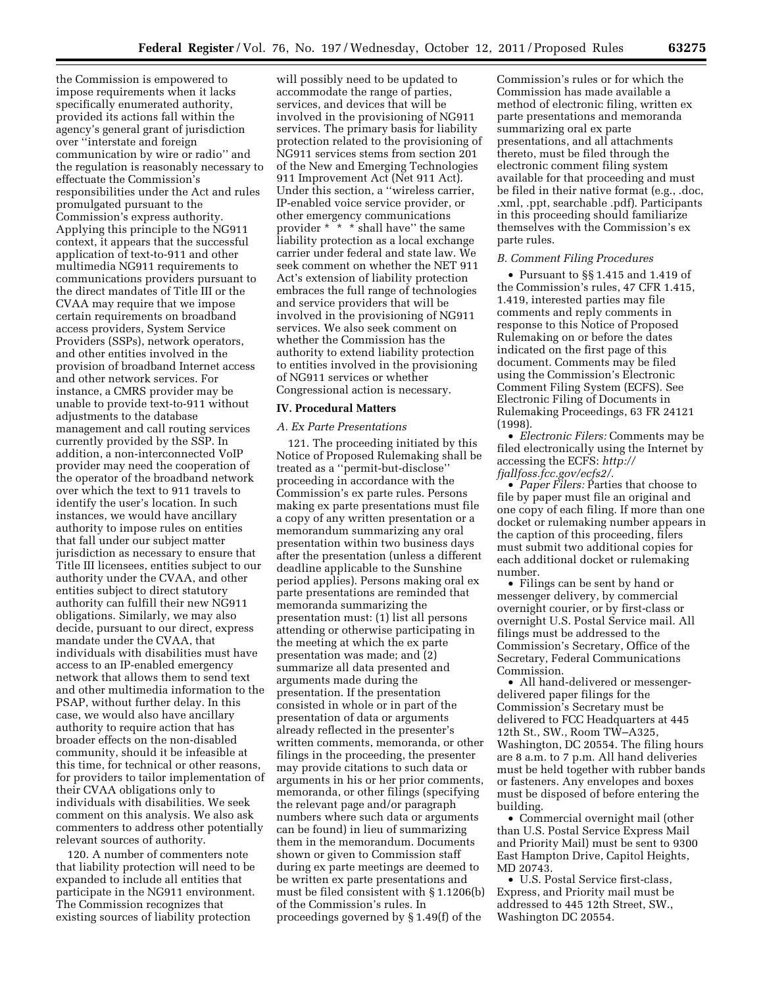the Commission is empowered to impose requirements when it lacks specifically enumerated authority, provided its actions fall within the agency's general grant of jurisdiction over ''interstate and foreign communication by wire or radio'' and the regulation is reasonably necessary to effectuate the Commission's responsibilities under the Act and rules promulgated pursuant to the Commission's express authority. Applying this principle to the NG911 context, it appears that the successful application of text-to-911 and other multimedia NG911 requirements to communications providers pursuant to the direct mandates of Title III or the CVAA may require that we impose certain requirements on broadband access providers, System Service Providers (SSPs), network operators, and other entities involved in the provision of broadband Internet access and other network services. For instance, a CMRS provider may be unable to provide text-to-911 without adjustments to the database management and call routing services currently provided by the SSP. In addition, a non-interconnected VoIP provider may need the cooperation of the operator of the broadband network over which the text to 911 travels to identify the user's location. In such instances, we would have ancillary authority to impose rules on entities that fall under our subject matter jurisdiction as necessary to ensure that Title III licensees, entities subject to our authority under the CVAA, and other entities subject to direct statutory authority can fulfill their new NG911 obligations. Similarly, we may also decide, pursuant to our direct, express mandate under the CVAA, that individuals with disabilities must have access to an IP-enabled emergency network that allows them to send text and other multimedia information to the PSAP, without further delay. In this case, we would also have ancillary authority to require action that has broader effects on the non-disabled community, should it be infeasible at this time, for technical or other reasons, for providers to tailor implementation of their CVAA obligations only to individuals with disabilities. We seek comment on this analysis. We also ask commenters to address other potentially relevant sources of authority.

120. A number of commenters note that liability protection will need to be expanded to include all entities that participate in the NG911 environment. The Commission recognizes that existing sources of liability protection

will possibly need to be updated to accommodate the range of parties, services, and devices that will be involved in the provisioning of NG911 services. The primary basis for liability protection related to the provisioning of NG911 services stems from section 201 of the New and Emerging Technologies 911 Improvement Act (Net 911 Act). Under this section, a ''wireless carrier, IP-enabled voice service provider, or other emergency communications provider \*  $\check{ }$  \* \* shall have" the same liability protection as a local exchange carrier under federal and state law. We seek comment on whether the NET 911 Act's extension of liability protection embraces the full range of technologies and service providers that will be involved in the provisioning of NG911 services. We also seek comment on whether the Commission has the authority to extend liability protection to entities involved in the provisioning of NG911 services or whether Congressional action is necessary.

#### **IV. Procedural Matters**

#### *A. Ex Parte Presentations*

121. The proceeding initiated by this Notice of Proposed Rulemaking shall be treated as a ''permit-but-disclose'' proceeding in accordance with the Commission's ex parte rules. Persons making ex parte presentations must file a copy of any written presentation or a memorandum summarizing any oral presentation within two business days after the presentation (unless a different deadline applicable to the Sunshine period applies). Persons making oral ex parte presentations are reminded that memoranda summarizing the presentation must: (1) list all persons attending or otherwise participating in the meeting at which the ex parte presentation was made; and (2) summarize all data presented and arguments made during the presentation. If the presentation consisted in whole or in part of the presentation of data or arguments already reflected in the presenter's written comments, memoranda, or other filings in the proceeding, the presenter may provide citations to such data or arguments in his or her prior comments, memoranda, or other filings (specifying the relevant page and/or paragraph numbers where such data or arguments can be found) in lieu of summarizing them in the memorandum. Documents shown or given to Commission staff during ex parte meetings are deemed to be written ex parte presentations and must be filed consistent with § 1.1206(b) of the Commission's rules. In proceedings governed by § 1.49(f) of the

Commission's rules or for which the Commission has made available a method of electronic filing, written ex parte presentations and memoranda summarizing oral ex parte presentations, and all attachments thereto, must be filed through the electronic comment filing system available for that proceeding and must be filed in their native format (e.g., .doc, .xml, .ppt, searchable .pdf). Participants in this proceeding should familiarize themselves with the Commission's ex parte rules.

### *B. Comment Filing Procedures*

• Pursuant to §§ 1.415 and 1.419 of the Commission's rules, 47 CFR 1.415, 1.419, interested parties may file comments and reply comments in response to this Notice of Proposed Rulemaking on or before the dates indicated on the first page of this document. Comments may be filed using the Commission's Electronic Comment Filing System (ECFS). See Electronic Filing of Documents in Rulemaking Proceedings, 63 FR 24121 (1998).

• *Electronic Filers:* Comments may be filed electronically using the Internet by accessing the ECFS: *[http://](http://fjallfoss.fcc.gov/ecfs2/)  [fjallfoss.fcc.gov/ecfs2/.](http://fjallfoss.fcc.gov/ecfs2/)* 

• *Paper Filers:* Parties that choose to file by paper must file an original and one copy of each filing. If more than one docket or rulemaking number appears in the caption of this proceeding, filers must submit two additional copies for each additional docket or rulemaking number.

• Filings can be sent by hand or messenger delivery, by commercial overnight courier, or by first-class or overnight U.S. Postal Service mail. All filings must be addressed to the Commission's Secretary, Office of the Secretary, Federal Communications Commission.

• All hand-delivered or messengerdelivered paper filings for the Commission's Secretary must be delivered to FCC Headquarters at 445 12th St., SW., Room TW–A325, Washington, DC 20554. The filing hours are 8 a.m. to 7 p.m. All hand deliveries must be held together with rubber bands or fasteners. Any envelopes and boxes must be disposed of before entering the building.

• Commercial overnight mail (other than U.S. Postal Service Express Mail and Priority Mail) must be sent to 9300 East Hampton Drive, Capitol Heights, MD 20743.

• U.S. Postal Service first-class, Express, and Priority mail must be addressed to 445 12th Street, SW., Washington DC 20554.